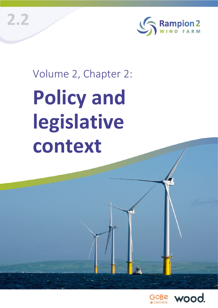**2.2**



# Volume 2, Chapter 2: **Policy and legislative context**

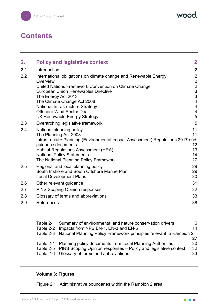wood.

# **Contents**

| 2.  | <b>Policy and legislative context</b>                                                                | $\overline{2}$                            |
|-----|------------------------------------------------------------------------------------------------------|-------------------------------------------|
| 2.1 | Introduction                                                                                         | $\overline{2}$                            |
| 2.2 | International obligations on climate change and Renewable Energy<br>Overview                         | $\overline{2}$<br>$\overline{2}$          |
|     | United Nations Framework Convention on Climate Change                                                | $\overline{2}$                            |
|     | <b>European Union Renewables Directive</b>                                                           | 3                                         |
|     | The Energy Act 2013                                                                                  | $\mathfrak{S}$<br>$\overline{\mathbf{4}}$ |
|     | The Climate Change Act 2008<br>National Infrastructure Strategy                                      | $\overline{4}$                            |
|     | <b>Offshore Wind Sector Deal</b>                                                                     | $\overline{\mathbf{4}}$                   |
|     | <b>UK Renewable Energy Strategy</b>                                                                  | 5                                         |
| 2.3 | Overarching legislative framework                                                                    | 5                                         |
| 2.4 | National planning policy<br>The Planning Act 2008                                                    | 11<br>11                                  |
|     | Infrastructure Planning (Environmental Impact Assessment) Regulations 2017 and<br>guidance documents | 12                                        |
|     | <b>Habitat Regulations Assessment (HRA)</b>                                                          | 13                                        |
|     | <b>National Policy Statements</b>                                                                    | 14                                        |
|     | The National Planning Policy Framework                                                               | 27                                        |
| 2.5 | Regional and local planning policy                                                                   | 29                                        |
|     | South Inshore and South Offshore Marine Plan<br><b>Local Development Plans</b>                       | 29<br>30                                  |
| 2.6 | Other relevant guidance                                                                              | 31                                        |
| 2.7 | <b>PINS Scoping Opinion responses</b>                                                                | 32                                        |
| 2.8 | Glossary of terms and abbreviations                                                                  | 33                                        |
| 2.9 | References                                                                                           | 38                                        |

| Table 2-1 Summary of environmental and nature conservation drivers            | 6  |
|-------------------------------------------------------------------------------|----|
| Table 2-2 Impacts from NPS EN-1, EN-3 and EN-5                                | 14 |
| Table 2-3 National Planning Policy Framework principles relevant to Rampion 2 |    |
|                                                                               |    |
| Table 2-4 Planning policy documents from Local Planning Authorities           | 30 |
| Table 2-5 PINS Scoping Opinion responses - Policy and legislative context     | 32 |
| Table 2-6 Glossary of terms and abbreviations                                 | 33 |
|                                                                               |    |

#### **Volume 3: Figures**

Figure 2.1 Administrative boundaries within the Rampion 2 area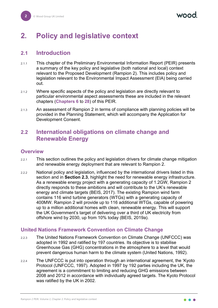## <span id="page-2-0"></span>**2. Policy and legislative context**

#### <span id="page-2-1"></span>**2.1 Introduction**

- 2.1.1 This chapter of the Preliminary Environmental Information Report (PEIR) presents a summary of the key policy and legislative (both national and local) context relevant to the Proposed Development (Rampion 2). This includes policy and legislation relevant to the Environmental Impact Assessment (EIA) being carried out.
- 2.1.2 Where specific aspects of the policy and legislation are directly relevant to particular environmental aspect assessments these are included in the relevant chapters (**Chapters 6** to **28**) of this PEIR.
- 2.1.3 An assessment of Rampion 2 in terms of compliance with planning policies will be provided in the Planning Statement, which will accompany the Application for Development Consent.

#### <span id="page-2-2"></span>**2.2 International obligations on climate change and Renewable Energy**

#### <span id="page-2-3"></span>**Overview**

- 2.2.1 This section outlines the policy and legislation drivers for climate change mitigation and renewable energy deployment that are relevant to Rampion 2.
- 2.2.2 National policy and legislation, influenced by the international drivers listed in this section and in **Section [2.3](#page-5-1)**, highlight the need for renewable energy infrastructure. As a renewable energy project with a generating capacity of 1.2GW, Rampion 2 directly responds to these ambitions and will contribute to the UK's renewable energy and climate targets (BEIS, 2017). The existing Rampion wind farm contains 116 wind turbine generators (WTGs) with a generating capacity of 400MW. Rampion 2 will provide up to 116 additional WTGs, capable of powering up to a million additional homes with clean, renewable energy. This will support the UK Government's target of delivering over a third of UK electricity from offshore wind by 2030, up from 10% today (BEIS, 2019a).

#### <span id="page-2-4"></span>**United Nations Framework Convention on Climate Change**

- 2.2.3 The United Nations Framework Convention on Climate Change (UNFCCC) was adopted in 1992 and ratified by 197 countries. Its objective is to stabilise Greenhouse Gas (GHG) concentrations in the atmosphere to a level that would prevent dangerous human harm to the climate system (United Nations, 1992).
- 2.2.4 The UNFCCC is put into operation through an international agreement, the 'Kyoto Protocol (UNFCCC, 1997). Adopted in 1997 by 192 parties including the UK, the agreement is a commitment to limiting and reducing GHG emissions between 2008 and 2012 in accordance with individually agreed targets. The Kyoto Protocol was ratified by the UK in 2002.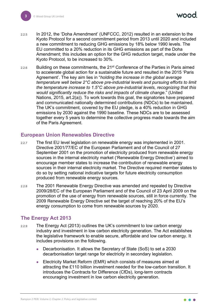nood

- 2.2.5 In 2012, the 'Doha Amendment' (UNFCCC, 2012) resulted in an extension to the Kyoto Protocol for a second commitment period from 2013 until 2020 and included a new commitment to reducing GHG emissions by 18% below 1990 levels. The EU committed to a 20% reduction in its GHG emissions as part of the Doha Amendment; this includes an option for the GHG reduction target, made under the Kyoto Protocol, to be increased to 30%.
- $2.2.6$  Building on these commitments, the 21<sup>st</sup> Conference of the Parties in Paris aimed to accelerate global action for a sustainable future and resulted in the 2015 'Paris Agreement'. The key aim lies in "*holding the increase in the global average temperature well below 2°C above pre-industrial levels and pursuing efforts to limit the temperature increase to 1.5°C above pre-industrial levels, recognizing that this would significantly reduce the risks and impacts of climate change*." (United Nations, 2015, art.2(a)). To work towards this goal, the signatories have prepared and communicated nationally determined contributions (NDCs) to be maintained. The UK's commitment, covered by the EU pledge, is a 40% reduction in GHG emissions by 2030 against the 1990 baseline. These NDCs are to be assessed together every 5 years to determine the collective progress made towards the aim of the Paris Agreement.

#### <span id="page-3-0"></span>**European Union Renewables Directive**

- 2.2.7 The first EU level legislation on renewable energy was implemented in 2001. Directive 2001/77/EC of the European Parliament and of the Council of 27 September 2001 on the promotion of electricity produced from renewable energy sources in the internal electricity market ('Renewable Energy Directive') aimed to encourage member states to increase the contribution of renewable energy sources in their internal electricity market. The Directive required member states to do so by setting national indicative targets for future electricity consumption produced from renewable energy sources.
- 2.2.8 The 2001 Renewable Energy Directive was amended and repealed by Directive 2009/28/EC of the European Parliament and of the Council of 23 April 2009 on the promotion of the use of energy from renewable sources, still in force currently. The 2009 Renewable Energy Directive set the target of reaching 20% of the EU's energy consumption to come from renewable sources by 2020.

#### <span id="page-3-1"></span>**The Energy Act 2013**

- 2.2.9 The Energy Act (2013) outlines the UK's commitment to low carbon energy industry and investment in low carbon electricity generation. The Act establishes the legislative framework to enable secure, affordable and low carbon energy. It includes provisions on the following.
	- Decarbonisation. It allows the Secretary of State (SoS) to set a 2030 decarbonisation target range for electricity in secondary legislation.
	- Electricity Market Reform (EMR) which consists of measures aimed at attracting the £110 billion investment needed for the low-carbon transition. It introduces the Contracts for Difference (CfDs), long-term contracts encouraging investment in low carbon electricity generation.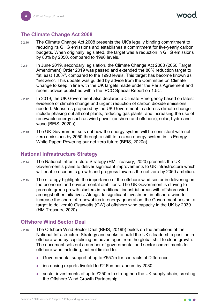#### <span id="page-4-0"></span>**The Climate Change Act 2008**

- 2.2.10 The Climate Change Act 2008 presents the UK's legally binding commitment to reducing its GHG emissions and establishes a commitment for five-yearly carbon budgets. When originally legislated, the target was a reduction in GHG emissions by 80% by 2050, compared to 1990 levels.
- 2.2.11 In June 2019, secondary legislation, the Climate Change Act 2008 (2050 Target Amendment) Order 2019 was passed and extended the 80% reduction target to "at least 100%", compared to the 1990 levels. This target has become known as "net zero". This update was guided by advice from the Committee on Climate Change to keep in line with the UK targets made under the Paris Agreement and recent advice published within the IPCC Special Report on 1.5C.
- 2.2.12 In 2019, the UK Government also declared a Climate Emergency based on latest evidence of climate change and urgent reduction of carbon dioxide emissions needed. Measures proposed by the UK Government to address climate change include phasing out all coal plants, reducing gas plants, and increasing the use of renewable energy such as wind power (onshore and offshore), solar, hydro and wave (BEIS, 2020b).
- 2.2.13 The UK Government sets out how the energy system will be consistent with net zero emissions by 2050 through a shift to a clean energy system in its Energy White Paper: Powering our net zero future (BEIS, 2020a).

#### <span id="page-4-1"></span>**National Infrastructure Strategy**

- 2.2.14 The National Infrastructure Strategy (HM Treasury, 2020) presents the UK Government's plans to deliver significant improvements to UK infrastructure which will enable economic growth and progress towards the net zero by 2050 ambition.
- 2.2.15 The strategy highlights the importance of the offshore wind sector in delivering on the economic and environmental ambitions. The UK Government is striving to promote green growth clusters in traditional industrial areas with offshore wind amongst other initiatives. Alongside significant investment in offshore wind to increase the share of renewables in energy generation, the Government has set a target to deliver 40 Gigawatts (GW) of offshore wind capacity in the UK by 2030 (HM Treasury, 2020).

#### <span id="page-4-2"></span>**Offshore Wind Sector Deal**

- 2.2.16 The Offshore Wind Sector Deal (BEIS, 2019b) builds on the ambitions of the National Infrastructure Strategy and seeks to build the UK's leadership position in offshore wind by capitalising on advantages from the global shift to clean growth. The document sets out a number of governmental and sector commitments for offshore wind including, but not limited to:
	- Governmental support of up to £557m for contracts of Difference;
	- increasing exports fivefold to £2.6bn per annum by 2030;
	- sector investments of up to £250m to strengthen the UK supply chain, creating the Offshore Wind Growth Partnership;

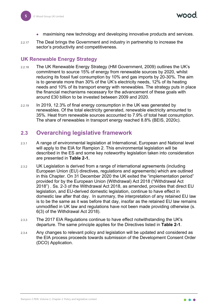- maximising new technology and developing innovative products and services.
- 2.2.17 The Deal brings the Government and industry in partnership to increase the sector's productivity and competitiveness.

#### <span id="page-5-0"></span>**UK Renewable Energy Strategy**

- 2.2.18 The UK Renewable Energy Strategy (HM Government, 2009) outlines the UK's commitment to source 15% of energy from renewable sources by 2020, whilst reducing its fossil fuel consumption by 10% and gas imports by 20-30%. The aim is to generate more than 30% of the UK's electricity needs, 12% of its heating needs and 10% of its transport energy with renewables. The strategy puts in place the financial mechanisms necessary for the advancement of these goals with around £30 billion to be invested between 2009 and 2020.
- 2.2.19 In 2019, 12.3% of final energy consumption in the UK was generated by renewables. Of the total electricity generated, renewable electricity amounted to 35%. Heat from renewable sources accounted to 7.9% of total heat consumption. The share of renewables in transport energy reached 8.8% (BEIS, 2020c).

#### <span id="page-5-1"></span>**2.3 Overarching legislative framework**

- 2.3.1 A range of environmental legislation at International, European and National level will apply to the EIA for Rampion 2. This environmental legislation will be described in the ES and some key noteworthy legislation taken into consideration are presented in **[Table 2-1.](#page-6-0)**
- 2.3.2 UK Legislation is derived from a range of international agreements (including European Union (EU) directives, regulations and agreements) which are outlined in this Chapter. On 31 December 2020 the UK exited the "implementation period" provided for by the European Union (Withdrawal) Act 2018 ("Withdrawal Act 2018") . Ss. 2-3 of the Withdrawal Act 2018, as amended, provides that direct EU legislation, and EU-derived domestic legislation, continue to have effect in domestic law after that day. In summary, the interpretation of any retained EU law is to be the same as it was before that day, insofar as the retained EU law remains unmodified in UK law and regulations have not been made providing otherwise (s. 6(3) of the Withdrawal Act 2018).
- 2.3.3 The 2017 EIA Regulations continue to have effect notwithstanding the UK's departure. The same principle applies for the Directives listed in **[Table 2-1](#page-6-0)**.
- 2.3.4 Any changes to relevant policy and legislation will be updated and considered as the EIA process proceeds towards submission of the Development Consent Order (DCO) Application.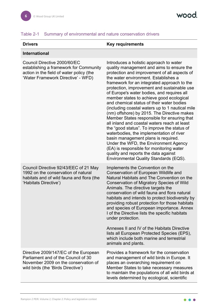#### <span id="page-6-0"></span>Table 2-1 Summary of environmental and nature conservation drivers

#### **Drivers Key requirements**

#### **International**

| Council Directive 2000/60/EC<br>establishing a framework for Community<br>action in the field of water policy (the<br>'Water Framework Directive' - WFD)   | Introduces a holistic approach to water<br>quality management and aims to ensure the<br>protection and improvement of all aspects of<br>the water environment. Establishes a<br>framework for an integrated approach to the<br>protection, improvement and sustainable use<br>of Europe's water bodies, and requires all<br>member states to achieve good ecological<br>and chemical status of their water bodies<br>(including coastal waters up to 1 nautical mile<br>(nm) offshore) by 2015. The Directive makes<br>Member States responsible for ensuring that<br>all inland and coastal waters reach at least<br>the "good status". To improve the status of<br>waterbodies, the implementation of river<br>basin management plans is required.<br>Under the WFD, the Environment Agency<br>(EA) is responsible for monitoring water<br>quality and reports the data against<br>Environmental Quality Standards (EQS). |
|------------------------------------------------------------------------------------------------------------------------------------------------------------|-----------------------------------------------------------------------------------------------------------------------------------------------------------------------------------------------------------------------------------------------------------------------------------------------------------------------------------------------------------------------------------------------------------------------------------------------------------------------------------------------------------------------------------------------------------------------------------------------------------------------------------------------------------------------------------------------------------------------------------------------------------------------------------------------------------------------------------------------------------------------------------------------------------------------------|
| Council Directive 92/43/EEC of 21 May<br>1992 on the conservation of natural<br>habitats and of wild fauna and flora (the<br>'Habitats Directive')         | Implements the Convention on the<br>Conservation of European Wildlife and<br>Natural Habitats and The Convention on the<br><b>Conservation of Migratory Species of Wild</b><br>Animals. The directive targets the<br>conservation of wild fauna and flora natural<br>habitats and intends to protect biodiversity by<br>providing robust protection for those habitats<br>and species of European importance. Annex<br>I of the Directive lists the specific habitats<br>under protection.<br>Annexes II and IV of the Habitats Directive<br>lists all European Protected Species (EPS),<br>which include both marine and terrestrial<br>animals and plants.                                                                                                                                                                                                                                                                |
| Directive 2009/147/EC of the European<br>Parliament and of the Council of 30<br>November 2009 on the conservation of<br>wild birds (the 'Birds Directive') | Provides a framework for the conservation<br>and management of wild birds in Europe. It<br>places an overarching requirement on<br>Member States to take necessary measures<br>to maintain the populations of all wild birds at<br>levels determined by ecological, scientific                                                                                                                                                                                                                                                                                                                                                                                                                                                                                                                                                                                                                                              |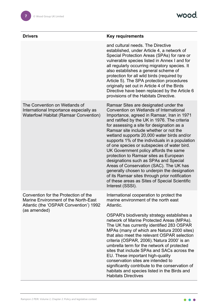| <b>Drivers</b>                                                                                                                         | <b>Key requirements</b>                                                                                                                                                                                                                                                                                                                                                                                                                                                                                                                                                                                                                                                                                                                                            |
|----------------------------------------------------------------------------------------------------------------------------------------|--------------------------------------------------------------------------------------------------------------------------------------------------------------------------------------------------------------------------------------------------------------------------------------------------------------------------------------------------------------------------------------------------------------------------------------------------------------------------------------------------------------------------------------------------------------------------------------------------------------------------------------------------------------------------------------------------------------------------------------------------------------------|
|                                                                                                                                        | and cultural needs. The Directive<br>established, under Article 4, a network of<br>Special Protection Areas (SPAs) for rare or<br>vulnerable species listed in Annex I and for<br>all regularly occurring migratory species. It<br>also establishes a general scheme of<br>protection for all wild birds (required by<br>Article 5). The SPA protection procedures<br>originally set out in Article 4 of the Birds<br>Directive have been replaced by the Article 6<br>provisions of the Habitats Directive.                                                                                                                                                                                                                                                       |
| The Convention on Wetlands of<br>International Importance especially as<br><b>Waterfowl Habitat (Ramsar Convention)</b>                | Ramsar Sites are designated under the<br>Convention on Wetlands of International<br>Importance, agreed in Ramsar, Iran in 1971<br>and ratified by the UK in 1976. The criteria<br>for assessing a site for designation as a<br>Ramsar site include whether or not the<br>wetland supports 20,000 water birds and/or<br>supports 1% of the individuals in a population<br>of one species or subspecies of water bird.<br>UK Government policy affords the same<br>protection to Ramsar sites as European<br>designations such as SPAs and Special<br>Areas of Conservation (SAC). The UK has<br>generally chosen to underpin the designation<br>of its Ramsar sites through prior notification<br>of these areas as Sites of Special Scientific<br>Interest (SSSI). |
| Convention for the Protection of the<br>Marine Environment of the North-East<br>Atlantic (the 'OSPAR Convention') 1992<br>(as amended) | International cooperation to protect the<br>marine environment of the north east<br>Atlantic.<br>OSPAR's biodiversity strategy establishes a<br>network of Marine Protected Areas (MPAs).<br>The UK has currently identified 283 OSPAR<br>MPAs (many of which are Natura 2000 sites)<br>that also meet the relevant OSPAR selection<br>criteria (OSPAR, 2006). 'Natura 2000' is an<br>umbrella term for the network of protected<br>sites that include SPAs and SACs across the<br>EU. These important high-quality<br>conservation sites are intended to<br>significantly contribute to the conservation of<br>habitats and species listed in the Birds and<br><b>Habitats Directives</b>                                                                         |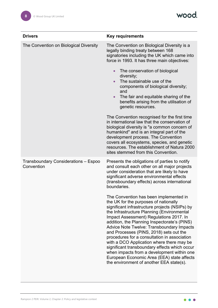wood.

| <b>Drivers</b>                                     | <b>Key requirements</b>                                                                                                                                                                                                                                                                                                                                                                                                                                                                                                                                                                                                                                  |
|----------------------------------------------------|----------------------------------------------------------------------------------------------------------------------------------------------------------------------------------------------------------------------------------------------------------------------------------------------------------------------------------------------------------------------------------------------------------------------------------------------------------------------------------------------------------------------------------------------------------------------------------------------------------------------------------------------------------|
| The Convention on Biological Diversity             | The Convention on Biological Diversity is a<br>legally binding treaty between 168<br>signatories including the UK which came into<br>force in 1993. It has three main objectives:<br>The conservation of biological<br>$\bullet$<br>diversity;<br>The sustainable use of the<br>$\bullet$<br>components of biological diversity;<br>and                                                                                                                                                                                                                                                                                                                  |
|                                                    | The fair and equitable sharing of the<br>benefits arising from the utilisation of<br>genetic resources.                                                                                                                                                                                                                                                                                                                                                                                                                                                                                                                                                  |
|                                                    | The Convention recognised for the first time<br>in international law that the conservation of<br>biological diversity is "a common concern of<br>humankind" and is an integral part of the<br>development process. The Convention<br>covers all ecosystems, species, and genetic<br>resources. The establishment of Natura 2000<br>sites stemmed from this Convention.                                                                                                                                                                                                                                                                                   |
| Transboundary Considerations - Espoo<br>Convention | Presents the obligations of parties to notify<br>and consult each other on all major projects<br>under consideration that are likely to have<br>significant adverse environmental effects<br>(transboundary effects) across international<br>boundaries.                                                                                                                                                                                                                                                                                                                                                                                                 |
|                                                    | The Convention has been implemented in<br>the UK for the purposes of nationally<br>significant infrastructure projects (NSIPs) by<br>the Infrastructure Planning (Environmental<br>Impact Assessment) Regulations 2017. In<br>addition, the Planning Inspectorate's (PINS)<br>Advice Note Twelve: Transboundary Impacts<br>and Processes (PINS, 2018) sets out the<br>procedures for a consultation in association<br>with a DCO Application where there may be<br>significant transboundary effects which occur<br>when impacts from a development within one<br>European Economic Area (EEA) state affects<br>the environment of another EEA state(s). |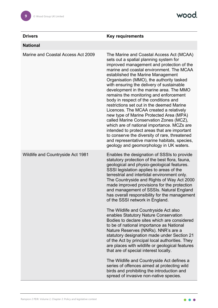| <b>Drivers</b>                           | <b>Key requirements</b>                                                                                                                                                                                                                                                                                                                                                                                                                                                                                                                                                                                                                                                                                                                                                                                                                                         |
|------------------------------------------|-----------------------------------------------------------------------------------------------------------------------------------------------------------------------------------------------------------------------------------------------------------------------------------------------------------------------------------------------------------------------------------------------------------------------------------------------------------------------------------------------------------------------------------------------------------------------------------------------------------------------------------------------------------------------------------------------------------------------------------------------------------------------------------------------------------------------------------------------------------------|
| <b>National</b>                          |                                                                                                                                                                                                                                                                                                                                                                                                                                                                                                                                                                                                                                                                                                                                                                                                                                                                 |
| Marine and Coastal Access Act 2009       | The Marine and Coastal Access Act (MCAA)<br>sets out a spatial planning system for<br>improved management and protection of the<br>marine and coastal environment. The MCAA<br>established the Marine Management<br>Organisation (MMO), the authority tasked<br>with ensuring the delivery of sustainable<br>development in the marine area. The MMO<br>remains the monitoring and enforcement<br>body in respect of the conditions and<br>restrictions set out in the deemed Marine<br>Licences. The MCAA created a relatively<br>new type of Marine Protected Area (MPA)<br>called Marine Conservation Zones (MCZ),<br>which are of national importance. MCZs are<br>intended to protect areas that are important<br>to conserve the diversity of rare, threatened<br>and representative marine habitats, species,<br>geology and geomorphology in UK waters. |
| <b>Wildlife and Countryside Act 1981</b> | Enables the designation of SSSIs to provide<br>statutory protection of the best flora, fauna,<br>geological and physio-geological features.<br>SSSI legislation applies to areas of the<br>terrestrial and intertidal environment only.<br>The Countryside and Rights of Way Act 2000<br>made improved provisions for the protection<br>and management of SSSIs. Natural England<br>has overall responsibility for the management<br>of the SSSI network in England.<br>The Wildlife and Countryside Act also<br>enables Statutory Nature Conservation<br>Bodies to declare sites which are considered<br>to be of national importance as National<br>Nature Reserves (NNRs). NNR's are a<br>statutory designation made under Section 21                                                                                                                        |
|                                          | of the Act by principal local authorities. They<br>are places with wildlife or geological features<br>that are of special interest locally.<br>The Wildlife and Countryside Act defines a<br>series of offences aimed at protecting wild                                                                                                                                                                                                                                                                                                                                                                                                                                                                                                                                                                                                                        |
|                                          | birds and prohibiting the introduction and<br>spread of invasive non-native species.                                                                                                                                                                                                                                                                                                                                                                                                                                                                                                                                                                                                                                                                                                                                                                            |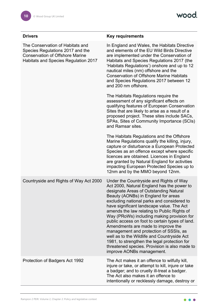| <b>Drivers</b>                                                                                                                                         | <b>Key requirements</b>                                                                                                                                                                                                                                                                                                                                                                                                                                                                                                                                                                                                                                                        |
|--------------------------------------------------------------------------------------------------------------------------------------------------------|--------------------------------------------------------------------------------------------------------------------------------------------------------------------------------------------------------------------------------------------------------------------------------------------------------------------------------------------------------------------------------------------------------------------------------------------------------------------------------------------------------------------------------------------------------------------------------------------------------------------------------------------------------------------------------|
| The Conservation of Habitats and<br>Species Regulations 2017 and the<br><b>Conservation of Offshore Marine</b><br>Habitats and Species Regulation 2017 | In England and Wales, the Habitats Directive<br>and elements of the EU Wild Birds Directive<br>are implemented under the Conservation of<br>Habitats and Species Regulations 2017 (the<br>'Habitats Regulations') onshore and up to 12<br>nautical miles (nm) offshore and the<br><b>Conservation of Offshore Marine Habitats</b><br>and Species Regulations 2017 between 12<br>and 200 nm offshore.                                                                                                                                                                                                                                                                           |
|                                                                                                                                                        | The Habitats Regulations require the<br>assessment of any significant effects on<br>qualifying features of European Conservation<br>Sites that are likely to arise as a result of a<br>proposed project. These sites include SACs,<br>SPAs, Sites of Community Importance (SCIs)<br>and Ramsar sites.                                                                                                                                                                                                                                                                                                                                                                          |
|                                                                                                                                                        | The Habitats Regulations and the Offshore<br>Marine Regulations qualify the killing, injury,<br>capture or disturbance a European Protected<br>Species as an offence except where specific<br>licences are obtained. Licences in England<br>are granted by Natural England for activities<br>impacting European Protected Species up to<br>12nm and by the MMO beyond 12nm.                                                                                                                                                                                                                                                                                                    |
| Countryside and Rights of Way Act 2000                                                                                                                 | Under the Countryside and Rights of Way<br>Act 2000, Natural England has the power to<br>designate Areas of Outstanding Natural<br>Beauty (AONBs) in England for areas<br>excluding national parks and considered to<br>have significant landscape value. The Act<br>amends the law relating to Public Rights of<br>Way (PRoWs) including making provision for<br>public access on foot to certain types of land.<br>Amendments are made to improve the<br>management and protection of SSSIs, as<br>well as to the Wildlife and Countryside Act<br>1981, to strengthen the legal protection for<br>threatened species. Provision is also made to<br>improve AONBs management. |
| Protection of Badgers Act 1992                                                                                                                         | The Act makes it an offence to wilfully kill,<br>injure or take, or attempt to kill, injure or take<br>a badger; and to cruelly ill-treat a badger.<br>The Act also makes it an offence to<br>intentionally or recklessly damage, destroy or                                                                                                                                                                                                                                                                                                                                                                                                                                   |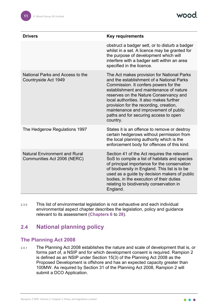| <b>Drivers</b>                                                      | <b>Key requirements</b>                                                                                                                                                                                                                                                                                                                                                                                   |
|---------------------------------------------------------------------|-----------------------------------------------------------------------------------------------------------------------------------------------------------------------------------------------------------------------------------------------------------------------------------------------------------------------------------------------------------------------------------------------------------|
|                                                                     | obstruct a badger sett, or to disturb a badger<br>whilst in a set. A licence may be granted for<br>the purpose of development which will<br>interfere with a badger sett within an area<br>specified in the licence.                                                                                                                                                                                      |
| National Parks and Access to the<br>Countryside Act 1949            | The Act makes provision for National Parks<br>and the establishment of a National Parks<br>Commission. It confers powers for the<br>establishment and maintenance of nature<br>reserves on the Nature Conservancy and<br>local authorities. It also makes further<br>provision for the recording, creation,<br>maintenance and improvement of public<br>paths and for securing access to open<br>country. |
| The Hedgerow Regulations 1997                                       | States it is an offence to remove or destroy<br>certain hedgerows without permission from<br>the local planning authority which is the<br>enforcement body for offences of this kind.                                                                                                                                                                                                                     |
| <b>Natural Environment and Rural</b><br>Communities Act 2006 (NERC) | Section 41 of the Act requires the relevant<br>SoS to compile a list of habitats and species<br>of principal importance for the conservation<br>of biodiversity in England. This list is to be<br>used as a guide by decision makers of public<br>bodies, in the execution of their duties<br>relating to biodiversity conservation in<br>England.                                                        |

2.3.5 This list of environmental legislation is not exhaustive and each individual environmental aspect chapter describes the legislation, policy and guidance relevant to its assessment (**Chapters 6** to **28**).

### <span id="page-11-0"></span>**2.4 National planning policy**

#### <span id="page-11-1"></span>**The Planning Act 2008**

2.4.1 The Planning Act 2008 establishes the nature and scale of development that is, or forms part of, a NSIP and for which development consent is required. Rampion 2 is defined as an NSIP under Section 15(3) of the Planning Act 2008 as the Proposed Development is offshore and has an expected capacity greater than 100MW. As required by Section 31 of the Planning Act 2008, Rampion 2 will submit a DCO Application.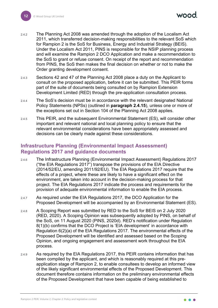mod

- 2.4.2 The Planning Act 2008 was amended through the adoption of the Localism Act 2011, which transferred decision-making responsibilities to the relevant SoS which for Rampion 2 is the SoS for Business, Energy and Industrial Strategy (BEIS). Under the Localism Act 2011, PINS is responsible for the NSIP planning process and will examine the Rampion 2 DCO Application and make a recommendation to the SoS to grant or refuse consent. On receipt of the report and recommendation from PINS, the SoS then makes the final decision on whether or not to make the Order granting development consent.
- 2.4.3 Sections 42 and 47 of the Planning Act 2008 place a duty on the Applicant to consult on the proposed application, before it can be submitted. This PEIR forms part of the suite of documents being consulted on by Rampion Extension Development Limited (RED) through the pre-application consultation process.
- 2.4.4 The SoS's decision must be in accordance with the relevant designated National Policy Statements (NPSs) (outlined in **paragraph [2.4.15](#page-14-1)**), unless one or more of the exceptions set out in Section 104 of the Planning Act 2008 applies.
- 2.4.5 This PEIR, and the subsequent Environmental Statement (ES), will consider other important and relevant national and local planning policy to ensure that the relevant environmental considerations have been appropriately assessed and decisions can be clearly made against these considerations.

#### <span id="page-12-0"></span>**Infrastructure Planning (Environmental Impact Assessment) Regulations 2017 and guidance documents**

- 2.4.6 The Infrastructure Planning (Environmental Impact Assessment) Regulations 2017 ("the EIA Regulations 2017") transpose the provisions of the EIA Directive (2014/52/EU, amending 2011/92/EU). The EIA Regulations 2017 require that the effects of a project, where these are likely to have a significant effect on the environment, are taken into account in the decision-making process for that project. The EIA Regulations 2017 indicate the process and requirements for the provision of adequate environmental information to enable the EIA process.
- 2.4.7 As required under the EIA Regulations 2017, the DCO Application for the Proposed Development will be accompanied by an Environmental Statement (ES).
- 2.4.8 A Scoping Report was submitted by RED to the SoS for BEIS on 2 July 2020 (RED, 2020). A Scoping Opinion was subsequently adopted by PINS, on behalf of the SoS, on 11 August 2020 (PINS, 2020d). RED's notification under Regulation 8(1)(b) confirms that the DCO Project is 'EIA development' in accordance with Regulation 6(2)(a) of the EIA Regulations 2017. The environmental effects of the Proposed Development will be identified and assessed based on the Scoping Opinion, and ongoing engagement and assessment work throughout the EIA process.
- 2.4.9 As required by the EIA Regulations 2017, this PEIR contains information that has been compiled by the applicant, and which is reasonably required at this preapplication stage of Rampion 2, to enable consultees to develop an informed view of the likely significant environmental effects of the Proposed Development. This document therefore contains information on the preliminary environmental effects of the Proposed Development that have been capable of being established to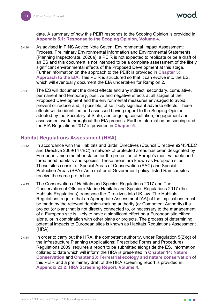vood

date. A summary of how this PEIR responds to the Scoping Opinion is provided in **Appendix 5.1: Response to the Scoping Opinion, Volume 4**.

- 2.4.10 As advised in PINS Advice Note Seven: Environmental Impact Assessment: Process, Preliminary Environmental Information and Environmental Statements (Planning Inspectorate, 2020a), a PEIR is not expected to replicate or be a draft of an ES and this document is not intended to be a complete assessment of the likely significant environmental effects of the Proposed Development at this stage. Further information on the approach to the PEIR is provided in **Chapter 5: Approach to the EIA**. This PEIR is structured so that it can evolve into the ES, which will eventually document the EIA undertaken for Rampion 2.
- 2.4.11 The ES will document the direct effects and any indirect, secondary, cumulative, permanent and temporary, positive and negative effects at all stages of the Proposed Development and the environmental measures envisaged to avoid, prevent or reduce and, if possible, offset likely significant adverse effects. These effects will be identified and assessed having regard to the Scoping Opinion adopted by the Secretary of State, and ongoing consultation, engagement and assessment work throughout the EIA process. Further information on scoping and the EIA Regulations 2017 is provided in **Chapter 5**.

#### <span id="page-13-0"></span>**Habitat Regulations Assessment (HRA)**

- 2.4.12 In accordance with the Habitats and Birds' Directives (Council Directive 92/43/EEC and Directive 2009/147/EC) a network of protected areas has been designated by European Union member states for the protection of Europe's most valuable and threatened habitats and species. These areas are known as European sites. These sites consist of Special Areas of Conservation (SAC) and Special Protection Areas (SPA). As a matter of Government policy, listed Ramsar sites receive the same protection.
- 2.4.13 The Conservation of Habitats and Species Regulations 2017 and The Conservation of Offshore Marine Habitats and Species Regulations 2017 (the Habitats Regulations) transpose the Directives into UK law. The Habitats Regulations require that an Appropriate Assessment (AA) of the implications must be made by the relevant decision-making authority (or Competent Authority) if a project (or plan) that is not directly connected to, or necessary to the management of a European site is likely to have a significant effect on a European site either alone, or in combination with other plans or projects. The process of determining potential impacts to European sites is known as Habitats Regulations Assessment (HRA).
- $2.4.14$  In order to carry out the HRA, the competent authority, under Regulation  $5(2)(g)$  of the Infrastructure Planning (Applications: Prescribed Forms and Procedure) Regulations 2009, requires a report to be submitted alongside the ES. Information collated to date which will inform the HRA is presented in **Chapter 14: Nature Conservation** and **Chapter 23: Terrestrial ecology and nature conservation** of this PEIR and a preliminary draft of the HRA screening report is provided in **Appendix 23.2: HRA Screening Report, Volume 4**.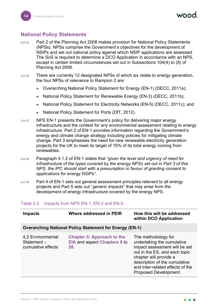#### <span id="page-14-0"></span>**National Policy Statements**

- <span id="page-14-1"></span>2.4.15 Part 2 of the Planning Act 2008 makes provision for National Policy Statements (NPSs). NPSs comprise the Government's objectives for the development of NSIPs and set out national policy against which NSIP applications are assessed. The SoS is required to determine a DCO Application in accordance with an NPS, except in certain limited circumstances set out in Subsections 104(4) to (8) of Planning Act 2008.
- 2.4.16 There are currently 12 designated NPSs of which six relate to energy generation, the four NPSs of relevance to Rampion 2 are:
	- Overarching National Policy Statement for Energy (EN-1) (DECC, 2011a);
	- National Policy Statement for Renewable Energy (EN-3) (DECC, 2011b);
	- National Policy Statement for Electricity Networks (EN-5) (DECC, 2011c); and
	- National Policy Statement for Ports (DfT, 2012).
- 2.4.17 NPS EN-1 presents the Government's policy for delivering major energy infrastructure and the context for any environmental assessment relating to energy infrastructure. Part 2 of EN-1 provides information regarding the Government's energy and climate change strategy including policies for mitigating climate change. Part 3 emphasises the need for new renewable electricity generation projects for the UK to meet its target of 15% of its total energy coming from renewables.
- 2.4.18 Paragraph 4.1.2 of EN-1 states that *"given the level and urgency of need for infrastructure of the types covered by the energy NPSs set out in Part 3 of this NPS, the IPC should start with a presumption in favour of granting consent to applications for energy NSIPs".*
- 2.4.19 Part 4 of EN-1 sets out general assessment principles relevant to all energy projects and Part 5 sets out "*generic impacts*" that may arise from the development of energy infrastructure covered by the energy NPS.

#### Table 2-2 Impacts from NPS EN-1, EN-3 and EN-5

| <b>Impacts</b>                                        | Where addressed in PEIR                                                  | How this will be addressed<br>within DCO Application                                                                                                                                                                                        |
|-------------------------------------------------------|--------------------------------------------------------------------------|---------------------------------------------------------------------------------------------------------------------------------------------------------------------------------------------------------------------------------------------|
|                                                       | <b>Overarching National Policy Statement for Energy (EN-1)</b>           |                                                                                                                                                                                                                                             |
| 4.2 Environmental<br>Statement-<br>cumulative effects | <b>Chapter 5: Approach to the</b><br>EIA and aspect Chapters 6 to<br>28. | The methodology for<br>undertaking the cumulative<br>impact assessment will be set<br>out in the ES, and each topic<br>chapter will provide a<br>description of the cumulative<br>and inter-related effects of the<br>Proposed Development. |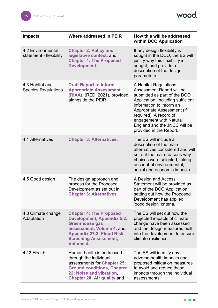wood.

| <b>Impacts</b>                                      | Where addressed in PEIR                                                                                                                                                                                    | How this will be addressed<br>within DCO Application                                                                                                                                                                                                                                              |
|-----------------------------------------------------|------------------------------------------------------------------------------------------------------------------------------------------------------------------------------------------------------------|---------------------------------------------------------------------------------------------------------------------------------------------------------------------------------------------------------------------------------------------------------------------------------------------------|
| <b>4.2 Environmental</b><br>statement - flexibility | <b>Chapter 2: Policy and</b><br>legislative context, and<br><b>Chapter 4: The Proposed</b><br>Development.                                                                                                 | If any design flexibility is<br>sought in the DCO, the ES will<br>justify why this flexibility is<br>sought, and provide a<br>description of the design<br>parameters.                                                                                                                            |
| 4.3 Habitat and<br><b>Species Regulations</b>       | <b>Draft Report to Inform</b><br><b>Appropriate Assessment</b><br>(RIAA), (RED, 2021), provided<br>alongside the PEIR.                                                                                     | A Habitat Regulations<br>Assessment Report will be<br>submitted as part of the DCO<br>Application, including sufficient<br>information to inform an<br>Appropriate Assessment (if<br>required). A record of<br>engagement with Natural<br>England and the JNCC will be<br>provided in the Report. |
| 4.4 Alternatives                                    | <b>Chapter 3: Alternatives.</b>                                                                                                                                                                            | The ES will include a<br>description of the main<br>alternatives considered and will<br>set out the main reasons why<br>choices were selected, taking<br>account of environmental,<br>social and economic impacts.                                                                                |
| 4.5 Good design                                     | The design approach and<br>process for the Proposed<br>Development as set out in<br><b>Chapter 3: Alternatives</b>                                                                                         | A Design and Access<br>Statement will be provided as<br>part of the DCO Application<br>setting out how the Proposed<br>Development has applied<br>'good design' criteria.                                                                                                                         |
| 4.8 Climate change<br>Adaptation                    | <b>Chapter 4: The Proposed</b><br><b>Development, Appendix 5.2:</b><br><b>Greenhouse gas</b><br>assessment, Volume 4, and<br><b>Appendix 27.2: Flood Risk</b><br><b>Screening Assessment,</b><br>Volume 4. | The ES will set out how the<br>projected impacts of climate<br>change have been assessed<br>and the design measures built<br>into the development to ensure<br>climate resilience.                                                                                                                |
| 4.13 Health                                         | Human health is addressed<br>through the individual<br>assessments for Chapter 25:<br><b>Ground conditions, Chapter</b><br>22: Noise and vibration<br><b>Chapter 20: Air quality and</b>                   | The ES will identify any<br>adverse health impacts and<br>proposed mitigation measures<br>to avoid and reduce these<br>impacts through the individual<br>assessments.                                                                                                                             |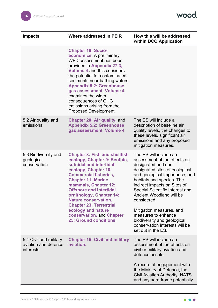| <b>Where addressed in PEIR</b>                                                                                                                                                                                                                                                                                                                                                                                           | How this will be addressed<br>within DCO Application                                                                                                                                                                                                                                                                                                                                                                                          |
|--------------------------------------------------------------------------------------------------------------------------------------------------------------------------------------------------------------------------------------------------------------------------------------------------------------------------------------------------------------------------------------------------------------------------|-----------------------------------------------------------------------------------------------------------------------------------------------------------------------------------------------------------------------------------------------------------------------------------------------------------------------------------------------------------------------------------------------------------------------------------------------|
| <b>Chapter 18: Socio-</b><br>economics. A preliminary<br>WFD assessment has been<br>provided in Appendix 27.3,<br><b>Volume 4 and this considers</b><br>the potential for contaminated<br>sediments near bathing waters.<br><b>Appendix 5.2: Greenhouse</b><br>gas assessment, Volume 4<br>examines the wider<br>consequences of GHG<br>emissions arising from the<br>Proposed Development.                              |                                                                                                                                                                                                                                                                                                                                                                                                                                               |
| <b>Chapter 20: Air quality, and</b><br><b>Appendix 5.2: Greenhouse</b><br>gas assessment, Volume 4                                                                                                                                                                                                                                                                                                                       | The ES will include a<br>description of baseline air<br>quality levels, the changes to<br>these levels, significant air<br>emissions and any proposed<br>mitigation measures.                                                                                                                                                                                                                                                                 |
| <b>Chapter 8: Fish and shellfish</b><br>ecology, Chapter 9: Benthic,<br>subtidal and intertidal<br>ecology, Chapter 10:<br><b>Commercial fisheries,</b><br><b>Chapter 11: Marine</b><br>mammals, Chapter 12:<br><b>Offshore and intertidal</b><br>ornithology, Chapter 14:<br><b>Nature conservation,</b><br><b>Chapter 23: Terrestrial</b><br>ecology and nature<br>conservation, and Chapter<br>25: Ground conditions. | The ES will include an<br>assessment of the effects on<br>designated and non-<br>designated sites of ecological<br>and geological importance, and<br>habitats and species. The<br>indirect impacts on Sites of<br>Special Scientific Interest and<br><b>Ancient Woodland will be</b><br>considered.<br>Mitigation measures, and<br>measures to enhance<br>biodiversity and geological<br>conservation interests will be<br>set out in the ES. |
| <b>Chapter 15: Civil and military</b><br>aviation.                                                                                                                                                                                                                                                                                                                                                                       | The ES will include an<br>assessment of the effects on<br>civil or military aviation and<br>defence assets.<br>A record of engagement with<br>the Ministry of Defence, the<br><b>Civil Aviation Authority, NATS</b><br>and any aerodrome potentially                                                                                                                                                                                          |
|                                                                                                                                                                                                                                                                                                                                                                                                                          |                                                                                                                                                                                                                                                                                                                                                                                                                                               |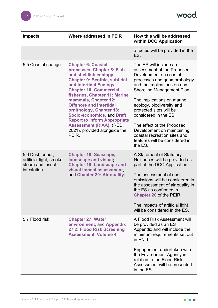wood.

| <b>Impacts</b>                                                                  | Where addressed in PEIR                                                                                                                                                                                                                                                                                                                                                                                                                                              | How this will be addressed<br>within DCO Application                                                                                                                                                                                                                                                                                                                                                                               |
|---------------------------------------------------------------------------------|----------------------------------------------------------------------------------------------------------------------------------------------------------------------------------------------------------------------------------------------------------------------------------------------------------------------------------------------------------------------------------------------------------------------------------------------------------------------|------------------------------------------------------------------------------------------------------------------------------------------------------------------------------------------------------------------------------------------------------------------------------------------------------------------------------------------------------------------------------------------------------------------------------------|
|                                                                                 |                                                                                                                                                                                                                                                                                                                                                                                                                                                                      | affected will be provided in the<br>ES.                                                                                                                                                                                                                                                                                                                                                                                            |
| 5.5 Coastal change                                                              | <b>Chapter 6: Coastal</b><br>processes, Chapter 8: Fish<br>and shellfish ecology,<br><b>Chapter 9: Benthic, subtidal</b><br>and intertidal Ecology,<br><b>Chapter 10: Commercial</b><br>fisheries, Chapter 11: Marine<br>mammals, Chapter 12:<br><b>Offshore and intertidal</b><br>ornithology, Chapter 18:<br><b>Socio-economics, and Draft</b><br><b>Report to Inform Appropriate</b><br><b>Assessment (RIAA), (RED,</b><br>2021), provided alongside the<br>PEIR. | The ES will include an<br>assessment of the Proposed<br>Development on coastal<br>processes and geomorphology<br>and the implications on any<br>Shoreline Management Plan.<br>The implications on marine<br>ecology, biodiversity and<br>protected sites will be<br>considered in the ES.<br>The effect of the Proposed<br>Development on maintaining<br>coastal recreation sites and<br>features will be considered in<br>the ES. |
| 5.6 Dust, odour,<br>artificial light, smoke,<br>steam and insect<br>infestation | <b>Chapter 16: Seascape,</b><br>landscape and visual,<br><b>Chapter 19: Landscape and</b><br>visual impact assessment,<br>and Chapter 20: Air quality.                                                                                                                                                                                                                                                                                                               | A Statement of Statutory<br>Nuisances will be provided as<br>part of the DCO Application.<br>The assessment of dust<br>emissions will be considered in<br>the assessment of air quality in<br>the ES as confirmed in<br><b>Chapter 20 of the PEIR.</b><br>The impacts of artificial light<br>will be considered in the ES.                                                                                                         |
| 5.7 Flood risk                                                                  | <b>Chapter 27: Water</b><br>environment, and Appendix<br>27.2: Flood Risk Screening<br><b>Assessment, Volume 4.</b>                                                                                                                                                                                                                                                                                                                                                  | A Flood Risk Assessment will<br>be provided as an ES<br>Appendix and will include the<br>minimum requirements set out<br>in EN-1.<br>Engagement undertaken with<br>the Environment Agency in<br>relation to the Flood Risk<br>Assessment will be presented<br>in the ES.                                                                                                                                                           |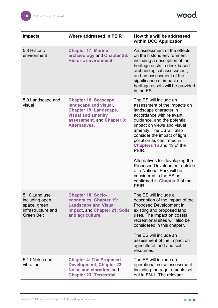

| <b>Impacts</b>                                                                             | Where addressed in PEIR                                                                                                                                     | How this will be addressed<br>within DCO Application                                                                                                                                                                                                                                                              |
|--------------------------------------------------------------------------------------------|-------------------------------------------------------------------------------------------------------------------------------------------------------------|-------------------------------------------------------------------------------------------------------------------------------------------------------------------------------------------------------------------------------------------------------------------------------------------------------------------|
| 5.8 Historic<br>environment                                                                | <b>Chapter 17: Marine</b><br>archaeology and Chapter 26:<br><b>Historic environment.</b>                                                                    | An assessment of the effects<br>on the historic environment<br>including a description of the<br>heritage assts, a desk based<br>archaeological assessment,<br>and an assessment of the<br>significance of impact on<br>heritage assets will be provided<br>in the ES.                                            |
| 5.9 Landscape and<br>visual                                                                | <b>Chapter 16: Seascape,</b><br>landscape and visual,<br><b>Chapter 19: Landscape,</b><br>visual and amenity<br>assessment, and Chapter 3:<br>Alternatives. | The ES will include an<br>assessment of the impacts on<br>landscape character in<br>accordance with relevant<br>guidance, and the potential<br>impact on views and visual<br>amenity. The ES will also<br>consider the impact of light<br>pollution as confirmed in<br>Chapters 16 and 19 of the<br>PEIR.         |
|                                                                                            |                                                                                                                                                             | Alternatives for developing the<br><b>Proposed Development outside</b><br>of a National Park will be<br>considered in the ES as<br>confirmed in Chapter 3 of the<br>PEIR.                                                                                                                                         |
| 5.10 Land use<br>including open<br>space, green<br>infrastructure and<br><b>Green Belt</b> | <b>Chapter 18: Socio-</b><br>economics, Chapter 19:<br><b>Landscape and Visual</b><br><b>Impact, and Chapter 21: Soils</b><br>and agriculture.              | The ES will include a<br>description of the impact of the<br><b>Proposed Development in</b><br>existing and proposed land<br>uses. The impact on coastal<br>recreational sites will also be<br>considered in this chapter.<br>The ES will include an<br>assessment of the impact on<br>agricultural land and soil |
|                                                                                            |                                                                                                                                                             | resources.                                                                                                                                                                                                                                                                                                        |
| 5.11 Noise and<br>vibration                                                                | <b>Chapter 4: The Proposed</b><br><b>Development, Chapter 22:</b><br>Noise and vibration, and<br><b>Chapter 23: Terrestrial</b>                             | The ES will include an<br>operational noise assessment<br>including the requirements set<br>out in EN-1. The relevant                                                                                                                                                                                             |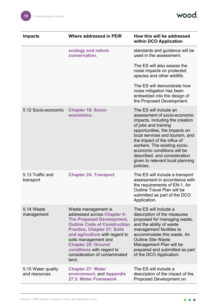wood.

| <b>Impacts</b>                      | Where addressed in PEIR                                                                                                                                                                                                                                                                                                           | How this will be addressed<br>within DCO Application                                                                                                                                                                                                                                                                                                                 |
|-------------------------------------|-----------------------------------------------------------------------------------------------------------------------------------------------------------------------------------------------------------------------------------------------------------------------------------------------------------------------------------|----------------------------------------------------------------------------------------------------------------------------------------------------------------------------------------------------------------------------------------------------------------------------------------------------------------------------------------------------------------------|
|                                     | ecology and nature<br>conservation.                                                                                                                                                                                                                                                                                               | standards and guidance will be<br>used in the assessment.                                                                                                                                                                                                                                                                                                            |
|                                     |                                                                                                                                                                                                                                                                                                                                   | The ES will also assess the<br>noise impacts on protected<br>species and other wildlife.                                                                                                                                                                                                                                                                             |
|                                     |                                                                                                                                                                                                                                                                                                                                   | The ES will demonstrate how<br>noise mitigation has been<br>embedded into the design of<br>the Proposed Development.                                                                                                                                                                                                                                                 |
| 5.12 Socio-economic                 | <b>Chapter 18: Socio-</b><br>economics.                                                                                                                                                                                                                                                                                           | The ES will include an<br>assessment of socio-economic<br>impacts, including the creation<br>of jobs and training<br>opportunities, the impacts on<br>local services and tourism, and<br>the impact of the influx of<br>workers. The existing socio-<br>economic conditions will be<br>described, and consideration<br>given to relevant local planning<br>policies. |
| 5.13 Traffic and<br>transport       | <b>Chapter 24: Transport.</b>                                                                                                                                                                                                                                                                                                     | The ES will include a transport<br>assessment in accordance with<br>the requirements of EN-1. An<br>Outline Travel Plan will be<br>submitted as part of the DCO<br>Application.                                                                                                                                                                                      |
| 5.14 Waste<br>management            | Waste management is<br>addressed across Chapter 4:<br><b>The Proposed Development,</b><br><b>Outline Code of Construction</b><br><b>Practice, Chapter 21: Soils</b><br>and agriculture with regard to<br>soils management and<br><b>Chapter 25: Ground</b><br>conditions with regard to<br>consideration of contaminated<br>land. | The ES will include a<br>description of the measures<br>proposed for managing waste,<br>and the ability of waste<br>management facilities to<br>accommodate this waste. An<br><b>Outline Site Waste</b><br>Management Plan will be<br>prepared and submitted as part<br>of the DCO Application.                                                                      |
| 5.15 Water quality<br>and resources | <b>Chapter 27: Water</b><br>environment, and Appendix<br>27.3: Water Framework                                                                                                                                                                                                                                                    | The ES will include a<br>description of the impact of the<br>Proposed Development on                                                                                                                                                                                                                                                                                 |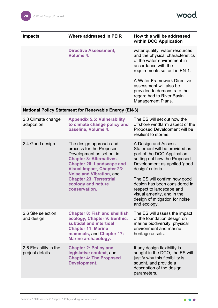wood.

| <b>Impacts</b>                            | <b>Where addressed in PEIR</b>                                                                                                                                                                                                                                                                          | How this will be addressed<br>within DCO Application                                                                                                                                                                                                                                                                                                  |
|-------------------------------------------|---------------------------------------------------------------------------------------------------------------------------------------------------------------------------------------------------------------------------------------------------------------------------------------------------------|-------------------------------------------------------------------------------------------------------------------------------------------------------------------------------------------------------------------------------------------------------------------------------------------------------------------------------------------------------|
|                                           | <b>Directive Assessment,</b><br>Volume 4.                                                                                                                                                                                                                                                               | water quality, water resources<br>and the physical characteristics<br>of the water environment in<br>accordance with the<br>requirements set out in EN-1.                                                                                                                                                                                             |
|                                           |                                                                                                                                                                                                                                                                                                         | A Water Framework Directive<br>assessment will also be<br>provided to demonstrate the<br>regard had to River Basin<br><b>Management Plans.</b>                                                                                                                                                                                                        |
|                                           | <b>National Policy Statement for Renewable Energy (EN-3)</b>                                                                                                                                                                                                                                            |                                                                                                                                                                                                                                                                                                                                                       |
| 2.3 Climate change<br>adaptation          | <b>Appendix 5.5: Vulnerability</b><br>to climate change policy and<br>baseline, Volume 4.                                                                                                                                                                                                               | The ES will set out how the<br>offshore windfarm aspect of the<br>Proposed Development will be<br>resilient to storms.                                                                                                                                                                                                                                |
| 2.4 Good design                           | The design approach and<br>process for the Proposed<br>Development as set out in<br><b>Chapter 3: Alternatives</b><br><b>Chapter 20: Landscape and</b><br><b>Visual Impact, Chapter 23:</b><br><b>Noise and Vibration, and</b><br><b>Chapter 23: Terrestrial</b><br>ecology and nature<br>conservation. | A Design and Access<br>Statement will be provided as<br>part of the DCO Application<br>setting out how the Proposed<br>Development as applied 'good<br>design' criteria.<br>The ES will confirm how good<br>design has been considered in<br>respect to landscape and<br>visual amenity, and in the<br>design of mitigation for noise<br>and ecology. |
| 2.6 Site selection<br>and design          | <b>Chapter 8: Fish and shellfish</b><br>ecology, Chapter 9: Benthic,<br>subtidal and intertidal<br><b>Chapter 11: Marine</b><br>mammals, and Chapter 17:<br><b>Marine archaeology.</b>                                                                                                                  | The ES will assess the impact<br>of the foundation design on<br>marine biodiversity, physical<br>environment and marine<br>heritage assets.                                                                                                                                                                                                           |
| 2.6 Flexibility in the<br>project details | <b>Chapter 2: Policy and</b><br>legislative context, and<br><b>Chapter 4: The Proposed</b><br>Development.                                                                                                                                                                                              | If any design flexibility is<br>sought in the DCO, the ES will<br>justify why this flexibility is<br>sought, and provide a<br>description of the design<br>parameters.                                                                                                                                                                                |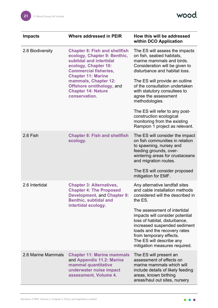wood.

| <b>Impacts</b>     | Where addressed in PEIR                                                                                                                                                                                                                                                                        | How this will be addressed<br>within DCO Application                                                                                                                                                                                                                                                                                                                                                                                     |
|--------------------|------------------------------------------------------------------------------------------------------------------------------------------------------------------------------------------------------------------------------------------------------------------------------------------------|------------------------------------------------------------------------------------------------------------------------------------------------------------------------------------------------------------------------------------------------------------------------------------------------------------------------------------------------------------------------------------------------------------------------------------------|
| 2.6 Biodiversity   | <b>Chapter 8: Fish and shellfish</b><br>ecology, Chapter 9: Benthic,<br>subtidal and intertidal<br>ecology, Chapter 10:<br><b>Commercial fisheries,</b><br><b>Chapter 11: Marine</b><br>mammals, Chapter 12:<br><b>Offshore ornithology, and</b><br><b>Chapter 14: Nature</b><br>conservation. | The ES will assess the impacts<br>on fish, seabed habitats,<br>marine mammals and birds.<br>Consideration will be given to<br>disturbance and habitat loss.<br>The ES will provide an outline<br>of the consultation undertaken<br>with statutory consultees to<br>agree the assessment<br>methodologies.<br>The ES will refer to any post-<br>construction ecological<br>monitoring from the existing<br>Rampion 1 project as relevant. |
| 2.6 Fish           | <b>Chapter 8: Fish and shellfish</b><br>ecology.                                                                                                                                                                                                                                               | The ES will consider the impact<br>on fish communities in relation<br>to spawning, nursey and<br>feeding grounds, over-<br>wintering areas for crustaceans<br>and migration routes.<br>The ES will consider proposed<br>mitigation for EMF.                                                                                                                                                                                              |
| 2.6 Intertidal     | <b>Chapter 3: Alternatives,</b><br><b>Chapter 4: The Proposed</b><br><b>Development, and Chapter 9:</b><br><b>Benthic, subtidal and</b><br>intertidal ecology.                                                                                                                                 | Any alternative landfall sites<br>and cable installation methods<br>considered will the described in<br>the ES.<br>The assessment of intertidal<br>impacts will consider potential<br>loss of habitat, disturbance,<br>increased suspended sediment<br>loads and the recovery rates<br>from temporary effects.<br>The ES will describe any<br>mitigation measures required.                                                              |
| 2.6 Marine Mammals | <b>Chapter 11: Marine mammals</b><br>and Appendix 11.2: Marine<br>mammal quantitative<br>underwater noise impact<br>assessment, Volume 4.                                                                                                                                                      | The ES will present an<br>assessment of effects on<br>marine mammals which will<br>include details of likely feeding<br>areas, known birthing<br>areas/haul out sites, nursery                                                                                                                                                                                                                                                           |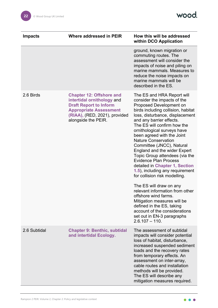

| <b>Impacts</b> | <b>Where addressed in PEIR</b>                                                                                                                                                          | How this will be addressed<br>within DCO Application                                                                                                                                                                                                                                                                                                                                                                                                                                                                                                                                                                                                                                                                                                                                                 |
|----------------|-----------------------------------------------------------------------------------------------------------------------------------------------------------------------------------------|------------------------------------------------------------------------------------------------------------------------------------------------------------------------------------------------------------------------------------------------------------------------------------------------------------------------------------------------------------------------------------------------------------------------------------------------------------------------------------------------------------------------------------------------------------------------------------------------------------------------------------------------------------------------------------------------------------------------------------------------------------------------------------------------------|
|                |                                                                                                                                                                                         | ground, known migration or<br>commuting routes. The<br>assessment will consider the<br>impacts of noise and piling on<br>marine mammals. Measures to<br>reduce the noise impacts on<br>marine mammals will be<br>described in the ES.                                                                                                                                                                                                                                                                                                                                                                                                                                                                                                                                                                |
| 2.6 Birds      | <b>Chapter 12: Offshore and</b><br>intertidal ornithology and<br><b>Draft Report to Inform</b><br><b>Appropriate Assessment</b><br>(RIAA), (RED, 2021), provided<br>alongside the PEIR. | The ES and HRA Report will<br>consider the impacts of the<br>Proposed Development on<br>birds including collision, habitat<br>loss, disturbance, displacement<br>and any barrier effects.<br>The ES will confirm how the<br>ornithological surveys have<br>been agreed with the Joint<br><b>Nature Conservation</b><br>Committee (JNCC), Natural<br><b>England and the wider Expert</b><br>Topic Group attendees (via the<br><b>Evidence Plan Process</b><br>detailed in Chapter 1, Section<br>1.5), including any requirement<br>for collision risk modelling.<br>The ES will draw on any<br>relevant information from other<br>offshore wind farms.<br>Mitigation measures will be<br>defined in the ES, taking<br>account of the considerations<br>set out in EN-3 paragraphs<br>$2.6.107 - 110.$ |
| 2.6 Subtidal   | <b>Chapter 9: Benthic, subtidal</b><br>and intertidal Ecology.                                                                                                                          | The assessment of subtidal<br>impacts will consider potential<br>loss of habitat, disturbance,<br>increased suspended sediment<br>loads and the recovery rates<br>from temporary effects. An<br>assessment on inter-array,<br>cable routes and installation<br>methods will be provided.<br>The ES will describe any<br>mitigation measures required.                                                                                                                                                                                                                                                                                                                                                                                                                                                |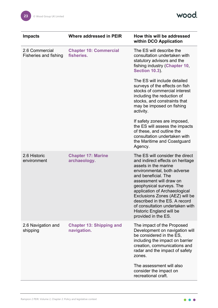wood.

| <b>Impacts</b>                                 | <b>Where addressed in PEIR</b>                 | How this will be addressed<br>within DCO Application                                                                                                                                                                                                                                                                                                                                               |
|------------------------------------------------|------------------------------------------------|----------------------------------------------------------------------------------------------------------------------------------------------------------------------------------------------------------------------------------------------------------------------------------------------------------------------------------------------------------------------------------------------------|
| 2.6 Commercial<br><b>Fisheries and fishing</b> | <b>Chapter 10: Commercial</b><br>fisheries.    | The ES will describe the<br>consultation undertaken with<br>statutory advisors and the<br>fishing industry (Chapter 10,<br><b>Section 10.3).</b>                                                                                                                                                                                                                                                   |
|                                                |                                                | The ES will include detailed<br>surveys of the effects on fish<br>stocks of commercial interest<br>including the reduction of<br>stocks, and constraints that<br>may be imposed on fishing<br>activity.                                                                                                                                                                                            |
|                                                |                                                | If safety zones are imposed,<br>the ES will assess the impacts<br>of these, and outline the<br>consultation undertaken with<br>the Maritime and Coastguard<br>Agency.                                                                                                                                                                                                                              |
| 2.6 Historic<br>environment                    | <b>Chapter 17: Marine</b><br>archaeology.      | The ES will consider the direct<br>and indirect effects on heritage<br>assets in the marine<br>environmental, both adverse<br>and beneficial. The<br>assessment will draw on<br>geophysical surveys. The<br>application of Archaeological<br>Exclusions Zones (AEZ) will be<br>described in the ES. A record<br>of consultation undertaken with<br>Historic England will be<br>provided in the ES. |
| 2.6 Navigation and<br>shipping                 | <b>Chapter 13: Shipping and</b><br>navigation. | The impact of the Proposed<br>Development on navigation will<br>be considered in the ES,<br>including the impact on barrier<br>creation, communications and<br>radar and the impact of safety<br>zones.<br>The assessment will also<br>consider the impact on                                                                                                                                      |

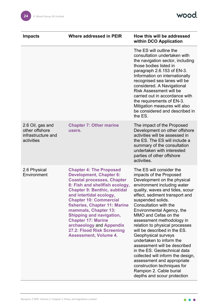wood.

| <b>Impacts</b>                                                         | <b>Where addressed in PEIR</b>                                                                                                                                                                                                                                                                                                                                                                                                                                | How this will be addressed<br>within DCO Application                                                                                                                                                                                                                                                                                                                                                                                                                                                                                                                                                                                                                    |
|------------------------------------------------------------------------|---------------------------------------------------------------------------------------------------------------------------------------------------------------------------------------------------------------------------------------------------------------------------------------------------------------------------------------------------------------------------------------------------------------------------------------------------------------|-------------------------------------------------------------------------------------------------------------------------------------------------------------------------------------------------------------------------------------------------------------------------------------------------------------------------------------------------------------------------------------------------------------------------------------------------------------------------------------------------------------------------------------------------------------------------------------------------------------------------------------------------------------------------|
|                                                                        |                                                                                                                                                                                                                                                                                                                                                                                                                                                               | The ES will outline the<br>consultation undertaken with<br>the navigation sector, including<br>those bodies listed in<br>paragraph 2.6.153 of EN-3.<br>Information on internationally<br>recognised sea lanes will be<br>considered. A Navigational<br><b>Risk Assessment will be</b><br>carried out in accordance with<br>the requirements of EN-3.<br>Mitigation measures will also<br>be considered and described in<br>the ES.                                                                                                                                                                                                                                      |
| 2.6 Oil, gas and<br>other offshore<br>infrastructure and<br>activities | <b>Chapter 7: Other marine</b><br>users.                                                                                                                                                                                                                                                                                                                                                                                                                      | The impact of the Proposed<br>Development on other offshore<br>activities will be assessed in<br>the ES. The ES will include a<br>summary of the consultation<br>undertaken with interested<br>parties of other offshore<br>activities.                                                                                                                                                                                                                                                                                                                                                                                                                                 |
| 2.6 Physical<br>Environment                                            | <b>Chapter 4: The Proposed</b><br><b>Development, Chapter 6:</b><br><b>Coastal processes, Chapter</b><br>8: Fish and shellfish ecology,<br><b>Chapter 9: Benthic, subtidal</b><br>and intertidal ecology,<br><b>Chapter 10: Commercial</b><br>fisheries, Chapter 11: Marine<br>mammals, Chapter 13:<br><b>Shipping and navigation,</b><br><b>Chapter 17: Marine</b><br>archaeology and Appendix<br>27.2: Flood Risk Screening<br><b>Assessment, Volume 4.</b> | The ES will consider the<br>impacts of the Proposed<br>Development on the physical<br>environment including water<br>quality, waves and tides, scour<br>effect, sediment transport and<br>suspended solids.<br>Consultation with the<br>Environmental Agency, the<br>MMO and Cefas on the<br>assessment methodology in<br>relation to physical processes<br>will be described in the ES.<br>Geophysical surveys<br>undertaken to inform the<br>assessment will be described<br>in the ES. Geotechnical data<br>collected will inform the design,<br>assessment and appropriate<br>construction techniques for<br>Rampion 2. Cable burial<br>depths and scour protection |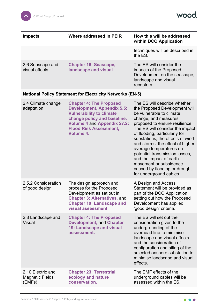| <b>Impacts</b>                     | Where addressed in PEIR                               | How this will be addressed<br>within DCO Application                                                                      |
|------------------------------------|-------------------------------------------------------|---------------------------------------------------------------------------------------------------------------------------|
|                                    |                                                       | techniques will be described in<br>the ES.                                                                                |
| 2.6 Seascape and<br>visual effects | <b>Chapter 16: Seascape,</b><br>landscape and visual. | The ES will consider the<br>impacts of the Proposed<br>Development on the seascape,<br>landscape and visual<br>receptors. |

#### **National Policy Statement for Electricity Networks (EN-5)**

| 2.4 Climate change<br>adaptation                      | <b>Chapter 4: The Proposed</b><br><b>Development, Appendix 5.5:</b><br><b>Vulnerability to climate</b><br>change policy and baseline,<br><b>Volume 4 and Appendix 27.2:</b><br><b>Flood Risk Assessment,</b><br>Volume 4. | The ES will describe whether<br>the Proposed Development will<br>be vulnerable to climate<br>change, and measures<br>proposed to ensure resilience.<br>The ES will consider the impact<br>of flooding, particularly for<br>substations, the effects of wind<br>and storms, the effect of higher<br>average temperatures on<br>potential transmission losses,<br>and the impact of earth<br>movement or subsidence<br>caused by flooding or drought<br>for underground cables. |
|-------------------------------------------------------|---------------------------------------------------------------------------------------------------------------------------------------------------------------------------------------------------------------------------|-------------------------------------------------------------------------------------------------------------------------------------------------------------------------------------------------------------------------------------------------------------------------------------------------------------------------------------------------------------------------------------------------------------------------------------------------------------------------------|
| 2.5.2 Consideration<br>of good design                 | The design approach and<br>process for the Proposed<br>Development as set out in<br><b>Chapter 3: Alternatives, and</b><br><b>Chapter 19: Landscape and</b><br>visual assessment.                                         | A Design and Access<br>Statement will be provided as<br>part of the DCO Application<br>setting out how the Proposed<br>Development has applied<br>'good design' criteria.                                                                                                                                                                                                                                                                                                     |
| 2.8 Landscape and<br><b>Visual</b>                    | <b>Chapter 4: The Proposed</b><br><b>Development, and Chapter</b><br><b>19: Landscape and visual</b><br>assessment.                                                                                                       | The ES will set out the<br>consideration given to the<br>undergrounding of the<br>overhead line to minimise<br>landscape and visual effects<br>and the consideration of<br>configuration and siting of the<br>selected onshore substation to<br>minimise landscape and visual<br>effects.                                                                                                                                                                                     |
| 2.10 Electric and<br><b>Magnetic Fields</b><br>(EMFs) | <b>Chapter 23: Terrestrial</b><br>ecology and nature<br>conservation.                                                                                                                                                     | The EMF effects of the<br>underground cables will be<br>assessed within the ES.                                                                                                                                                                                                                                                                                                                                                                                               |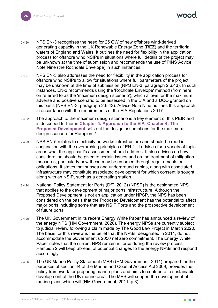mod

- 2.4.20 NPS EN-3 recognises the need for 25 GW of new offshore wind-derived generating capacity in the UK Renewable Energy Zone (REZ) and the territorial waters of England and Wales. It outlines the need for flexibility in the application process for offshore wind NSIPs in situations where full details of the project may be unknown at the time of submission and recommends the use of PINS Advice Note Nine (the Rochdale Envelope) in such instances.
- 2.4.21 NPS EN-3 also addresses the need for flexibility in the application process for offshore wind NSIPs to allow for situations where full parameters of the project may be unknown at the time of submission (NPS EN-3, paragraph 2.6.43). In such instances, EN-3 recommends using the 'Rochdale Envelope' method (from here on referred to as the 'maximum design scenario'), which allows for the maximum adverse and positive scenario to be assessed in the EIA and a DCO granted on this basis (NPS EN-3, paragraph 2.6.43). Advice Note Nine outlines this approach in accordance with the requirements of the EIA Regulations 2017.
- 2.4.22 The approach to the maximum design scenario is a key element of this PEIR and is described further in **Chapter 5: Approach to the EIA**. **Chapter 4: The Proposed Development** sets out the design assumptions for the maximum design scenario for Rampion 2.
- 2.4.23 NPS EN-5 relates to electricity networks infrastructure and should be read in conjunction with the overarching principles of EN-1. It advises for a variety of topic areas what the applicant's assessment should address. It also advises on how consideration should be given to certain issues and on the treatment of mitigation measures, particularly how these may be enforced through requirements or obligations. It states that subsea and underground cables, along with associated infrastructure may constitute associated development for which consent is sought along with an NSIP, such as a generating station.
- 2.4.24 National Policy Statement for Ports (DfT, 2012) (NPSP) is the designated NPS that applies to the development of major ports infrastructure. Although the Proposed Development is not an application under NPSP, the NPS has been considered on the basis that the Proposed Development has the potential to affect major ports including some that are NSIP Ports and the prospective development of future ports.
- 2.4.25 The UK Government in its recent Energy White Paper has announced a review of the energy NPS (HM Government, 2020). The energy NPSs are currently subject to judicial review following a claim made by The Good Law Project in March 2020. The basis for this review is the belief that the NPSs, designated in 2011, do not accommodate the Government's 2050 net zero commitment. The Energy White Paper notes that the current NPS remain in force during the review process. Rampion 2 will keep abreast of potential changes to the energy NPSs and respond accordingly.
- 2.4.26 The UK Marine Policy Statement (MPS) (HM Government, 2011) prepared for the purposes of section 44 of the Marine and Coastal Access Act 2009, provides the policy framework for preparing marine plans and aims to contribute to sustainable development of the UK marine area. The MPS will support the development of marine plans which will (HM Government, 2011, p.3):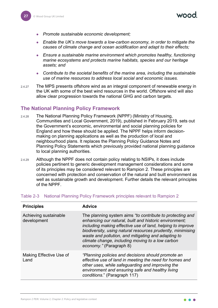- *Promote sustainable economic development;*
- *Enable the UK's move towards a low-carbon economy, in order to mitigate the causes of climate change and ocean acidification and adapt to their effects;*
- *Ensure a sustainable marine environment which promotes healthy, functioning marine ecosystems and protects marine habitats, species and our heritage assets; and*
- *Contribute to the societal benefits of the marine area, including the sustainable use of marine resources to address local social and economic issues.*
- 2.4.27 The MPS presents offshore wind as an integral component of renewable energy in the UK with some of the best wind resources in the world. Offshore wind will also allow clear progression towards the national GHG and carbon targets.

#### <span id="page-27-0"></span>**The National Planning Policy Framework**

- 2.4.28 The National Planning Policy Framework (NPPF) (Ministry of Housing, Communities and Local Government, 2019), published in February 2019, sets out the Government's economic, environmental and social planning policies for England and how these should be applied. The NPPF helps inform decisionmaking on planning applications as well as the production of local and neighbourhood plans. It replaces the Planning Policy Guidance Notes and Planning Policy Statements which previously provided national planning guidance to local planning authorities.
- 2.4.29 Although the NPPF does not contain policy relating to NSIPs, it does include policies pertinent to generic development management considerations and some of its principles may be considered relevant to Rampion 2. These principles are concerned with protection and conservation of the natural and built environment as well as sustainable growth and development. Further details the relevant principles of the NPPF.

| <b>Principles</b>                    | <b>Advice</b>                                                                                                                                                                                                                                                                                                                                                                          |
|--------------------------------------|----------------------------------------------------------------------------------------------------------------------------------------------------------------------------------------------------------------------------------------------------------------------------------------------------------------------------------------------------------------------------------------|
| Achieving sustainable<br>development | The planning system aims "to contribute to protecting and<br>enhancing our natural, built and historic environment;<br>including making effective use of land, helping to improve<br>biodiversity, using natural resources prudently, minimising<br>waste and pollution, and mitigating and adapting to<br>climate change, including moving to a low carbon<br>economy." (Paragraph 8) |
| Making Effective Use of<br>Land      | "Planning policies and decisions should promote an<br>effective use of land in meeting the need for homes and<br>other uses, while safeguarding and improving the<br>environment and ensuring safe and healthy living<br>conditions." (Paragraph 117)                                                                                                                                  |

#### Table 2-3 National Planning Policy Framework principles relevant to Rampion 2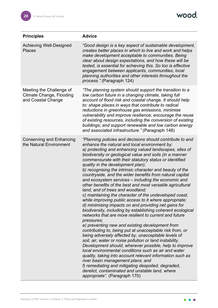wood.

| <b>Principles</b>                                                                 | <b>Advice</b>                                                                                                                                                                                                                                                                                                                                                                                                                                                                                                                                                                                                                                                                                                                                                                                                                                                                                                                                                                                                                                                                                                                                                                                                                                                                                                                                                                                                                                                                                                                             |
|-----------------------------------------------------------------------------------|-------------------------------------------------------------------------------------------------------------------------------------------------------------------------------------------------------------------------------------------------------------------------------------------------------------------------------------------------------------------------------------------------------------------------------------------------------------------------------------------------------------------------------------------------------------------------------------------------------------------------------------------------------------------------------------------------------------------------------------------------------------------------------------------------------------------------------------------------------------------------------------------------------------------------------------------------------------------------------------------------------------------------------------------------------------------------------------------------------------------------------------------------------------------------------------------------------------------------------------------------------------------------------------------------------------------------------------------------------------------------------------------------------------------------------------------------------------------------------------------------------------------------------------------|
| <b>Achieving Well-Designed</b><br><b>Places</b>                                   | "Good design is a key aspect of sustainable development,<br>creates better places in which to live and work and helps<br>make development acceptable to communities. Being<br>clear about design expectations, and how these will be<br>tested, is essential for achieving this. So too is effective<br>engagement between applicants, communities, local<br>planning authorities and other interests throughout the<br>process." (Paragraph 124)                                                                                                                                                                                                                                                                                                                                                                                                                                                                                                                                                                                                                                                                                                                                                                                                                                                                                                                                                                                                                                                                                         |
| Meeting the Challenge of<br><b>Climate Change, Flooding</b><br>and Coastal Change | "The planning system should support the transition to a<br>low carbon future in a changing climate, taking full<br>account of flood risk and coastal change. It should help<br>to: shape places in ways that contribute to radical<br>reductions in greenhouse gas emissions, minimise<br>vulnerability and improve resilience; encourage the reuse<br>of existing resources, including the conversion of existing<br>buildings; and support renewable and low carbon energy<br>and associated infrastructure." (Paragraph 148)                                                                                                                                                                                                                                                                                                                                                                                                                                                                                                                                                                                                                                                                                                                                                                                                                                                                                                                                                                                                           |
| <b>Conserving and Enhancing</b><br>the Natural Environment                        | "Planning policies and decisions should contribute to and<br>enhance the natural and local environment by:<br>a) protecting and enhancing valued landscapes, sites of<br>biodiversity or geological value and soils (in a manner<br>commensurate with their statutory status or identified<br>quality in the development plan);<br>b) recognising the intrinsic character and beauty of the<br>countryside, and the wider benefits from natural capital<br>and ecosystem services – including the economic and<br>other benefits of the best and most versatile agricultural<br>land, and of trees and woodland;<br>c) maintaining the character of the undeveloped coast,<br>while improving public access to it where appropriate;<br>d) minimising impacts on and providing net gains for<br>biodiversity, including by establishing coherent ecological<br>networks that are more resilient to current and future<br>pressures;<br>e) preventing new and existing development from<br>contributing to, being put at unacceptable risk from, or<br>being adversely affected by, unacceptable levels of<br>soil, air, water or noise pollution or land instability.<br>Development should, wherever possible, help to improve<br>local environmental conditions such as air and water<br>quality, taking into account relevant information such as<br>river basin management plans; and<br>f) remediating and mitigating despoiled, degraded,<br>derelict, contaminated and unstable land, where<br><i>appropriate"</i> (Paragraph 170) |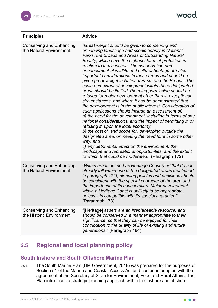| <b>Principles</b>                                           | <b>Advice</b>                                                                                                                                                                                                                                                                                                                                                                                                                                                                                                                                                                                                                                                                                                                                                                                                                                                                                                                                                                                                                                                                                                                                                                                                                                                                                     |
|-------------------------------------------------------------|---------------------------------------------------------------------------------------------------------------------------------------------------------------------------------------------------------------------------------------------------------------------------------------------------------------------------------------------------------------------------------------------------------------------------------------------------------------------------------------------------------------------------------------------------------------------------------------------------------------------------------------------------------------------------------------------------------------------------------------------------------------------------------------------------------------------------------------------------------------------------------------------------------------------------------------------------------------------------------------------------------------------------------------------------------------------------------------------------------------------------------------------------------------------------------------------------------------------------------------------------------------------------------------------------|
| <b>Conserving and Enhancing</b><br>the Natural Environment  | "Great weight should be given to conserving and<br>enhancing landscape and scenic beauty in National<br>Parks, the Broads and Areas of Outstanding Natural<br>Beauty, which have the highest status of protection in<br>relation to these issues. The conservation and<br>enhancement of wildlife and cultural heritage are also<br>important considerations in these areas and should be<br>given great weight in National Parks and the Broads. The<br>scale and extent of development within these designated<br>areas should be limited. Planning permission should be<br>refused for major development other than in exceptional<br>circumstances, and where it can be demonstrated that<br>the development is in the public interest. Consideration of<br>such applications should include an assessment of:<br>a) the need for the development, including in terms of any<br>national considerations, and the impact of permitting it, or<br>refusing it, upon the local economy;<br>b) the cost of, and scope for, developing outside the<br>designated area, or meeting the need for it in some other<br>way; and<br>c) any detrimental effect on the environment, the<br>landscape and recreational opportunities, and the extent<br>to which that could be moderated." (Paragraph 172) |
| <b>Conserving and Enhancing</b><br>the Natural Environment  | "Within areas defined as Heritage Coast (and that do not<br>already fall within one of the designated areas mentioned<br>in paragraph 172), planning policies and decisions should<br>be consistent with the special character of the area and<br>the importance of its conservation. Major development<br>within a Heritage Coast is unlikely to be appropriate,<br>unless it is compatible with its special character."<br>(Paragraph 173)                                                                                                                                                                                                                                                                                                                                                                                                                                                                                                                                                                                                                                                                                                                                                                                                                                                      |
| <b>Conserving and Enhancing</b><br>the Historic Environment | "[Heritage] assets are an irreplaceable resource, and<br>should be conserved in a manner appropriate to their<br>significance, so that they can be enjoyed for their<br>contribution to the quality of life of existing and future<br>generations." (Paragraph 184)                                                                                                                                                                                                                                                                                                                                                                                                                                                                                                                                                                                                                                                                                                                                                                                                                                                                                                                                                                                                                               |

#### <span id="page-29-0"></span>**2.5 Regional and local planning policy**

#### <span id="page-29-1"></span>**South Inshore and South Offshore Marine Plan**

2.5.1 The South Marine Plan (HM Government, 2018) was prepared for the purposes of Section 51 of the Marine and Coastal Access Act and has been adopted with the agreement of the Secretary of State for Environment, Food and Rural Affairs. The Plan introduces a strategic planning approach within the inshore and offshore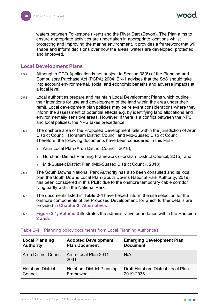waters between Folkestone (Kent) and the River Dart (Devon). The Plan aims to ensure appropriate activities are undertaken in appropriate locations whilst protecting and improving the marine environment. It provides a framework that will shape and inform decisions over how the areas' waters are developed, protected and improved.

#### <span id="page-30-0"></span>**Local Development Plans**

- 2.5.2 Although s DCO Application is not subject to Section 38(6) of the Planning and Compulsory Purchase Act (PCPA) 2004, EN-1 advises that the SoS should take into account environmental, social and economic benefits and adverse impacts at a local level.
- 2.5.3 Local authorities prepare and maintain Local Development Plans which outline their intentions for use and development of the land within the area under their remit. Local development plan policies may be relevant considerations where they inform the assessment of potential effects e.g. by identifying land allocations and environmentally sensitive areas. However, if there is a conflict between the NPS and local policies, the NPS takes precedence.
- 2.5.4 The onshore area of the Proposed Development falls within the jurisdiction of Arun District Council, Horsham District Council and Mid-Sussex District Council. Therefore, the following documents have been considered in this PEIR:
	- Arun Local Plan (Arun District Council, 2018);
	- Horsham District Planning Framework (Horsham District Council, 2015); and
	- Mid-Sussex District Plan (Mid-Sussex District Council, 2018).
- 2.5.5 The South Downs National Park Authority has also been consulted and its local plan the South Downs Local Plan (South Downs National Park Authority, 2019) has been considered in this PEIR due to the onshore temporary cable corridor lying partly within the National Park.
- 2.5.6 The documents listed in **[Table 2-4](#page-30-1)** have helped inform the site selection for the onshore components of the Proposed Development, for which further details are provided in **Chapter 3: Alternatives**.
- 2.5.7 **Figure 2.1, Volume 3** illustrates the administrative boundaries within the Rampion 2 area.

| <b>Local Planning</b>   | <b>Adopted Development</b>                                 | <b>Emerging Development Plan</b>  |
|-------------------------|------------------------------------------------------------|-----------------------------------|
| <b>Authority</b>        | <b>Plan Document</b>                                       | <b>Document</b>                   |
|                         | <b>Arun District Council Arun Local Plan 2011-</b><br>2031 | N/A                               |
| <b>Horsham District</b> | Horsham District Planning                                  | Draft Horsham District Local Plan |
| Council                 | Framework                                                  | 2019-2036                         |

#### <span id="page-30-1"></span>Table 2-4 Planning policy documents from Local Planning Authorities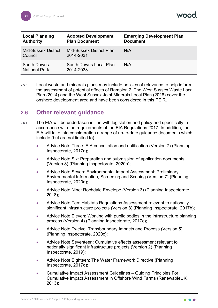| <b>Local Planning</b><br><b>Authority</b>  | <b>Adopted Development</b><br><b>Plan Document</b> | <b>Emerging Development Plan</b><br><b>Document</b> |
|--------------------------------------------|----------------------------------------------------|-----------------------------------------------------|
| <b>Mid-Sussex District</b><br>Council      | Mid-Sussex District Plan<br>2014-2031              | N/A                                                 |
| <b>South Downs</b><br><b>National Park</b> | South Downs Local Plan<br>2014-2033                | N/A                                                 |

2.5.8 Local waste and minerals plans may include policies of relevance to help inform the assessment of potential effects of Rampion 2. The West Sussex Waste Local Plan (2014) and the West Sussex Joint Minerals Local Plan (2018) cover the onshore development area and have been considered in this PEIR.

#### <span id="page-31-0"></span>**2.6 Other relevant guidance**

- 2.6.1 The EIA will be undertaken in line with legislation and policy and specifically in accordance with the requirements of the EIA Regulations 2017. In addition, the EIA will take into consideration a range of up-to-date guidance documents which include (but are not limited to):
	- Advice Note Three: EIA consultation and notification (Version 7) (Planning Inspectorate, 2017a);
	- Advice Note Six: Preparation and submission of application documents (Version 8) (Planning Inspectorate, 2020b);
	- Advice Note Seven: Environmental Impact Assessment: Preliminary Environmental Information, Screening and Scoping (Version 7) (Planning Inspectorate, 2020a);
	- Advice Note Nine: Rochdale Envelope (Version 3) (Planning Inspectorate, 2018);
	- Advice Note Ten: Habitats Regulations Assessment relevant to nationally significant infrastructure projects (Version 8) (Planning Inspectorate, 2017b);
	- Advice Note Eleven: Working with public bodies in the infrastructure planning process (Version 4) (Planning Inspectorate, 2017c);
	- Advice Note Twelve: Transboundary Impacts and Process (Version 5) (Planning Inspectorate, 2020c);
	- Advice Note Seventeen: Cumulative effects assessment relevant to nationally significant infrastructure projects (Version 2) (Planning Inspectorate, 2019);
	- Advice Note Eighteen: The Water Framework Directive (Planning Inspectorate, 2017d);
	- Cumulative Impact Assessment Guidelines Guiding Principles For Cumulative Impact Assessment in Offshore Wind Farms (RenewableUK, 2013);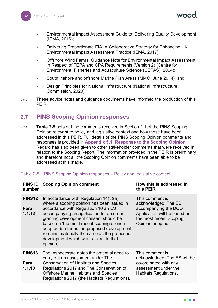nood

- Environmental Impact Assessment Guide to: Delivering Quality Development (IEMA, 2016);
- Delivering Proportionate EIA. A Collaborative Strategy for Enhancing UK Environmental Impact Assessment Practice (IEMA, 2017);
- Offshore Wind Farms: Guidance Note for Environmental Impact Assessment in Respect of FEPA and CPA Requirements (Version 2) (Centre for Environment, Fisheries and Aquaculture Science (CEFAS), 2004);
- South inshore and offshore Marine Plan Areas (MMO, June 2014); and
- Design Principles for National Infrastructure (National Infrastructure Commission, 2020).
- 2.6.2 These advice notes and guidance documents have informed the production of this PEIR.

#### <span id="page-32-0"></span>**2.7 PINS Scoping Opinion responses**

2.7.1 **[Table 2-5](#page-32-1)** sets out the comments received in Section 1.1 of the PINS Scoping Opinion relevant to policy and legislative context and how these have been addressed in this PEIR. Full details of the PINS Scoping Opinion comments and responses is provided in **Appendix 5.1: Response to the Scoping Opinion**. Regard has also been given to other stakeholder comments that were received in relation to the Scoping Report. The information provided in the PEIR is preliminary and therefore not all the Scoping Opinion comments have been able to be addressed at this stage.

| <b>PINS ID</b><br>number             | <b>Scoping Opinion comment</b>                                                                                                                                                                                                                                                                                                                                                                                          | How this is addressed in<br>this PEIR                                                                                                          |
|--------------------------------------|-------------------------------------------------------------------------------------------------------------------------------------------------------------------------------------------------------------------------------------------------------------------------------------------------------------------------------------------------------------------------------------------------------------------------|------------------------------------------------------------------------------------------------------------------------------------------------|
| PINS <sub>12</sub><br>Para<br>1.1.12 | In accordance with Regulation $14(3)(a)$ ,<br>where a scoping opinion has been issued in<br>accordance with Regulation 10 an ES<br>accompanying an application for an order<br>granting development consent should be<br>based on 'the most recent scoping opinion<br>adopted (so far as the proposed development<br>remains materially the same as the proposed<br>development which was subject to that<br>opinion)'. | This comment is<br>acknowledged. The ES<br>accompanying the DCO<br>Application will be based on<br>the most recent Scoping<br>Opinion adopted. |
| PINS <sub>13</sub><br>Para<br>1.1.13 | The Inspectorate notes the potential need to<br>carry out an assessment under The<br><b>Conservation of Habitats and Species</b><br>Regulations 2017 and The Conservation of<br><b>Offshore Marine Habitats and Species</b><br>Regulations 2017 (the Habitats Regulations).                                                                                                                                             | This comment is<br>acknowledged. The ES will be<br>co-ordinated with any<br>assessment under the<br><b>Habitats Regulations.</b>               |

#### <span id="page-32-1"></span>Table 2-5 PINS Scoping Opinion responses – Policy and legislative context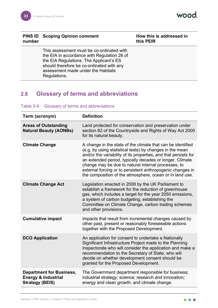wood.

#### **PINS ID** Scoping Opinion comment **How this is addressed** in **number**

# **this PEIR**

This assessment must be co-ordinated with the EIA in accordance with Regulation 26 of the EIA Regulations. The Applicant's ES should therefore be co-ordinated with any assessment made under the Habitats Regulations.

#### <span id="page-33-0"></span>**2.8 Glossary of terms and abbreviations**

#### Table 2-6 Glossary of terms and abbreviations

| Term (acronym)                                                                              | <b>Definition</b>                                                                                                                                                                                                                                                                                                                                                                                                                       |
|---------------------------------------------------------------------------------------------|-----------------------------------------------------------------------------------------------------------------------------------------------------------------------------------------------------------------------------------------------------------------------------------------------------------------------------------------------------------------------------------------------------------------------------------------|
| <b>Areas of Outstanding</b><br><b>Natural Beauty (AONBs)</b>                                | Land protected for conservation and preservation under<br>section 82 of the Countryside and Rights of Way Act 2000<br>for its natural beauty.                                                                                                                                                                                                                                                                                           |
| <b>Climate Change</b>                                                                       | A change in the state of the climate that can be identified<br>(e.g. by using statistical tests) by changes in the mean<br>and/or the variability of its properties, and that persists for<br>an extended period, typically decades or longer. Climate<br>change may be due to natural internal processes, to<br>external forcing or to persistent anthropogenic changes in<br>the composition of the atmosphere, ocean or in land use. |
| <b>Climate Change Act</b>                                                                   | Legislation enacted in 2008 by the UK Parliament to<br>establish a framework for the reduction of greenhouse<br>gas, which includes a target for the year 2050 emissions,<br>a system of carbon budgeting, establishing the<br>Committee on Climate Change, carbon trading schemes<br>and other provisions.                                                                                                                             |
| <b>Cumulative impact</b>                                                                    | Impacts that result from incremental changes caused by<br>other past, present or reasonably foreseeable actions<br>together with the Proposed Development.                                                                                                                                                                                                                                                                              |
| <b>DCO Application</b>                                                                      | An application for consent to undertake a Nationally<br>Significant Infrastructure Project made to the Planning<br>Inspectorate who will consider the application and make a<br>recommendation to the Secretary of State, who will<br>decide on whether development consent should be<br>granted for the Proposed Development.                                                                                                          |
| <b>Department for Business,</b><br><b>Energy &amp; Industrial</b><br><b>Strategy (BEIS)</b> | The Government department responsible for business;<br>industrial strategy; science; research and innovation;<br>energy and clean growth; and climate change.                                                                                                                                                                                                                                                                           |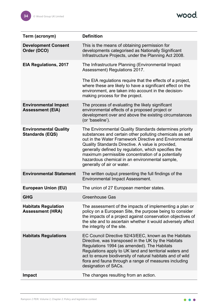wood.

| Term (acronym)                                         | <b>Definition</b>                                                                                                                                                                                                                                                                                                                                                                                                               |
|--------------------------------------------------------|---------------------------------------------------------------------------------------------------------------------------------------------------------------------------------------------------------------------------------------------------------------------------------------------------------------------------------------------------------------------------------------------------------------------------------|
| <b>Development Consent</b><br>Order (DCO)              | This is the means of obtaining permission for<br>developments categorised as Nationally Significant<br>Infrastructure Projects, under the Planning Act 2008.                                                                                                                                                                                                                                                                    |
| <b>EIA Regulations, 2017</b>                           | The Infrastructure Planning (Environmental Impact<br>Assessment) Regulations 2017.                                                                                                                                                                                                                                                                                                                                              |
|                                                        | The EIA regulations require that the effects of a project,<br>where these are likely to have a significant effect on the<br>environment, are taken into account in the decision-<br>making process for the project.                                                                                                                                                                                                             |
| <b>Environmental Impact</b><br><b>Assessment (EIA)</b> | The process of evaluating the likely significant<br>environmental effects of a proposed project or<br>development over and above the existing circumstances<br>(or 'baseline').                                                                                                                                                                                                                                                 |
| <b>Environmental Quality</b><br><b>Standards (EQS)</b> | The Environmental Quality Standards determines priority<br>substances and certain other polluting chemicals as set<br>out in the Water Framework Directive and Environmental<br>Quality Standards Directive. A value is provided,<br>generally defined by regulation, which specifies the<br>maximum permissible concentration of a potentially<br>hazardous chemical in an environmental sample,<br>generally of air or water. |
| <b>Environmental Statement</b>                         | The written output presenting the full findings of the<br><b>Environmental Impact Assessment.</b>                                                                                                                                                                                                                                                                                                                               |
| <b>European Union (EU)</b>                             | The union of 27 European member states.                                                                                                                                                                                                                                                                                                                                                                                         |
| <b>GHG</b>                                             | <b>Greenhouse Gas</b>                                                                                                                                                                                                                                                                                                                                                                                                           |
| <b>Habitats Regulation</b><br><b>Assessment (HRA)</b>  | The assessment of the impacts of implementing a plan or<br>policy on a European Site, the purpose being to consider<br>the impacts of a project against conservation objectives of<br>the site and to ascertain whether it would adversely affect<br>the integrity of the site.                                                                                                                                                 |
| <b>Habitats Regulations</b>                            | EC Council Directive 92/43/EEC, known as the Habitats<br>Directive, was transposed in the UK by the Habitats<br>Regulations 1994 (as amended). The Habitats<br>Regulations apply to UK land and territorial waters and<br>act to ensure biodiversity of natural habitats and of wild<br>flora and fauna through a range of measures including<br>designation of SACs.                                                           |
| <b>Impact</b>                                          | The changes resulting from an action.                                                                                                                                                                                                                                                                                                                                                                                           |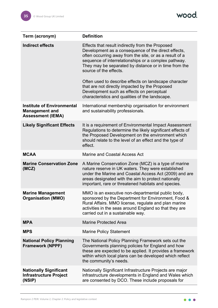

| Term (acronym)                                                                         | <b>Definition</b>                                                                                                                                                                                                                                                                                                                                                      |
|----------------------------------------------------------------------------------------|------------------------------------------------------------------------------------------------------------------------------------------------------------------------------------------------------------------------------------------------------------------------------------------------------------------------------------------------------------------------|
| <b>Indirect effects</b>                                                                | Effects that result indirectly from the Proposed<br>Development as a consequence of the direct effects,<br>often occurring away from the site, or as a result of a<br>sequence of interrelationships or a complex pathway.<br>They may be separated by distance or in time from the<br>source of the effects.<br>Often used to describe effects on landscape character |
|                                                                                        | that are not directly impacted by the Proposed<br>Development such as effects on perceptual<br>characteristics and qualities of the landscape.                                                                                                                                                                                                                         |
| <b>Institute of Environmental</b><br><b>Management and</b><br><b>Assessment (IEMA)</b> | International membership organisation for environment<br>and sustainability professionals.                                                                                                                                                                                                                                                                             |
| <b>Likely Significant Effects</b>                                                      | It is a requirement of Environmental Impact Assessment<br>Regulations to determine the likely significant effects of<br>the Proposed Development on the environment which<br>should relate to the level of an effect and the type of<br>effect.                                                                                                                        |
| <b>MCAA</b>                                                                            | <b>Marine and Coastal Access Act</b>                                                                                                                                                                                                                                                                                                                                   |
| <b>Marine Conservation Zone</b><br>(MCZ)                                               | A Marine Conservation Zone (MCZ) is a type of marine<br>nature reserve in UK waters. They were established<br>under the Marine and Coastal Access Act (2009) and are<br>areas designated with the aim to protect nationally<br>important, rare or threatened habitats and species.                                                                                     |
| <b>Marine Management</b><br>Organisation (MMO)                                         | MMO is an executive non-departmental public body,<br>sponsored by the Department for Environment, Food &<br>Rural Affairs. MMO license, regulate and plan marine<br>activities in the seas around England so that they are<br>carried out in a sustainable way.                                                                                                        |
| <b>MPA</b>                                                                             | <b>Marine Protected Area</b>                                                                                                                                                                                                                                                                                                                                           |
| <b>MPS</b>                                                                             | <b>Marine Policy Statement</b>                                                                                                                                                                                                                                                                                                                                         |
| <b>National Policy Planning</b><br><b>Framework (NPPF)</b>                             | The National Policy Planning Framework sets out the<br>Governments planning policies for England and how<br>these are expected to be applied. It provides a framework<br>within which local plans can be developed which reflect<br>the community's needs.                                                                                                             |
| <b>Nationally Significant</b><br><b>Infrastructure Project</b><br>(NSIP)               | Nationally Significant Infrastructure Projects are major<br>infrastructure developments in England and Wales which<br>are consented by DCO. These include proposals for                                                                                                                                                                                                |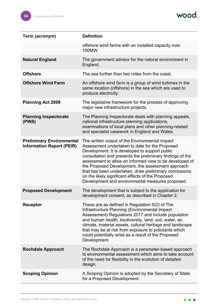

| Term (acronym)                                                       | <b>Definition</b>                                                                                                                                                                                                                                                                                                                                                                                                                                                                                  |
|----------------------------------------------------------------------|----------------------------------------------------------------------------------------------------------------------------------------------------------------------------------------------------------------------------------------------------------------------------------------------------------------------------------------------------------------------------------------------------------------------------------------------------------------------------------------------------|
|                                                                      | offshore wind farms with an installed capacity over<br>100MW.                                                                                                                                                                                                                                                                                                                                                                                                                                      |
| <b>Natural England</b>                                               | The government advisor for the natural environment in<br>England.                                                                                                                                                                                                                                                                                                                                                                                                                                  |
| <b>Offshore</b>                                                      | The sea further than two miles from the coast.                                                                                                                                                                                                                                                                                                                                                                                                                                                     |
| <b>Offshore Wind Farm</b>                                            | An offshore wind farm is a group of wind turbines in the<br>same location (offshore) in the sea which are used to<br>produce electricity.                                                                                                                                                                                                                                                                                                                                                          |
| <b>Planning Act 2008</b>                                             | The legislative framework for the process of approving<br>major new infrastructure projects.                                                                                                                                                                                                                                                                                                                                                                                                       |
| <b>Planning Inspectorate</b><br>(PINS)                               | The Planning Inspectorate deals with planning appeals,<br>national infrastructure planning applications,<br>examinations of local plans and other planning-related<br>and specialist casework in England and Wales.                                                                                                                                                                                                                                                                                |
| <b>Preliminary Environmental</b><br><b>Information Report (PEIR)</b> | The written output of the Environmental Impact<br>Assessment undertaken to date for the Proposed<br>Development. It is developed to support public<br>consultation and presents the preliminary findings of the<br>assessment to allow an informed view to be developed of<br>the Proposed Development, the assessment approach<br>that has been undertaken, draw preliminary conclusions<br>on the likely significant effects of the Proposed<br>Development and environmental measures proposed. |
| <b>Proposed Development</b>                                          | The development that is subject to the application for<br>development consent, as described in Chapter 2.                                                                                                                                                                                                                                                                                                                                                                                          |
| <b>Receptor</b>                                                      | These are as defined in Regulation 5(2) of The<br>Infrastructure Planning (Environmental Impact<br>Assessment) Regulations 2017 and include population<br>and human health, biodiversity, land, soil, water, air,<br>climate, material assets, cultural heritage and landscape<br>that may be at risk from exposure to pollutants which<br>could potentially arise as a result of the Proposed<br>Development.                                                                                     |
| <b>Rochdale Approach</b>                                             | The Rochdale Approach is a parameter-based approach<br>to environmental assessment which aims to take account<br>of the need for flexibility in the evolution of detailed<br>design.                                                                                                                                                                                                                                                                                                               |
| <b>Scoping Opinion</b>                                               | A Scoping Opinion is adopted by the Secretary of State<br>for a Proposed Development.                                                                                                                                                                                                                                                                                                                                                                                                              |

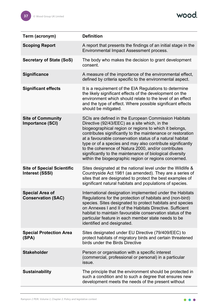wood.

| Term (acronym)                                              | <b>Definition</b>                                                                                                                                                                                                                                                                                                                                                                                                                                                                                                                    |
|-------------------------------------------------------------|--------------------------------------------------------------------------------------------------------------------------------------------------------------------------------------------------------------------------------------------------------------------------------------------------------------------------------------------------------------------------------------------------------------------------------------------------------------------------------------------------------------------------------------|
| <b>Scoping Report</b>                                       | A report that presents the findings of an initial stage in the<br>Environmental Impact Assessment process.                                                                                                                                                                                                                                                                                                                                                                                                                           |
| <b>Secretary of State (SoS)</b>                             | The body who makes the decision to grant development<br>consent.                                                                                                                                                                                                                                                                                                                                                                                                                                                                     |
| <b>Significance</b>                                         | A measure of the importance of the environmental effect,<br>defined by criteria specific to the environmental aspect.                                                                                                                                                                                                                                                                                                                                                                                                                |
| <b>Significant effects</b>                                  | It is a requirement of the EIA Regulations to determine<br>the likely significant effects of the development on the<br>environment which should relate to the level of an effect<br>and the type of effect. Where possible significant effects<br>should be mitigated.                                                                                                                                                                                                                                                               |
| <b>Site of Community</b><br><b>Importance (SCI)</b>         | SCIs are defined in the European Commission Habitats<br>Directive (92/43/EEC) as a site which, in the<br>biogeographical region or regions to which it belongs,<br>contributes significantly to the maintenance or restoration<br>at a favourable conservation status of a natural habitat<br>type or of a species and may also contribute significantly<br>to the coherence of Natura 2000, and/or contributes<br>significantly to the maintenance of biological diversity<br>within the biogeographic region or regions concerned. |
| <b>Site of Special Scientific</b><br><b>Interest (SSSI)</b> | Sites designated at the national level under the Wildlife &<br>Countryside Act 1981 (as amended). They are a series of<br>sites that are designated to protect the best examples of<br>significant natural habitats and populations of species.                                                                                                                                                                                                                                                                                      |
| <b>Special Area of</b><br><b>Conservation (SAC)</b>         | International designation implemented under the Habitats<br>Regulations for the protection of habitats and (non-bird)<br>species. Sites designated to protect habitats and species<br>on Annexes I and II of the Habitats Directive, Sufficient<br>habitat to maintain favourable conservation status of the<br>particular feature in each member state needs to be<br>identified and designated.                                                                                                                                    |
| <b>Special Protection Area</b><br>(SPA)                     | Sites designated under EU Directive (79/409/EEC) to<br>protect habitats of migratory birds and certain threatened<br>birds under the Birds Directive                                                                                                                                                                                                                                                                                                                                                                                 |
| <b>Stakeholder</b>                                          | Person or organisation with a specific interest<br>(commercial, professional or personal) in a particular<br>issue.                                                                                                                                                                                                                                                                                                                                                                                                                  |
| <b>Sustainability</b>                                       | The principle that the environment should be protected in<br>such a condition and to such a degree that ensures new<br>development meets the needs of the present without                                                                                                                                                                                                                                                                                                                                                            |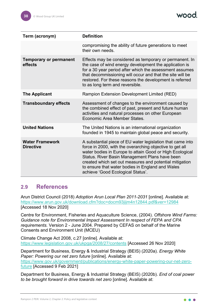

| Term (acronym)                             | <b>Definition</b>                                                                                                                                                                                                                                                                                                                                                                        |
|--------------------------------------------|------------------------------------------------------------------------------------------------------------------------------------------------------------------------------------------------------------------------------------------------------------------------------------------------------------------------------------------------------------------------------------------|
|                                            | compromising the ability of future generations to meet<br>their own needs.                                                                                                                                                                                                                                                                                                               |
| <b>Temporary or permanent</b><br>effects   | Effects may be considered as temporary or permanent. In<br>the case of wind energy development the application is<br>for a 30 year period after which the assessment assumes<br>that decommissioning will occur and that the site will be<br>restored. For these reasons the development is referred<br>to as long term and reversible.                                                  |
| <b>The Applicant</b>                       | Rampion Extension Development Limited (RED)                                                                                                                                                                                                                                                                                                                                              |
| <b>Transboundary effects</b>               | Assessment of changes to the environment caused by<br>the combined effect of past, present and future human<br>activities and natural processes on other European<br>Economic Area Member States.                                                                                                                                                                                        |
| <b>United Nations</b>                      | The United Nations is an international organization<br>founded in 1945 to maintain global peace and security.                                                                                                                                                                                                                                                                            |
| <b>Water Framework</b><br><b>Directive</b> | A substantial piece of EU water legislation that came into<br>force in 2000, with the overarching objective to get all<br>water bodies in Europe to attain Good or High Ecological<br>Status. River Basin Management Plans have been<br>created which set out measures and potential mitigation<br>to ensure that water bodies in England and Wales<br>achieve 'Good Ecological Status'. |

#### <span id="page-38-0"></span>**2.9 References**

Arun District Council (2018) *Adoption Arun Local Plan 2011-2031* [online]. Available at: <https://www.arun.gov.uk/download.cfm?doc=docm93jijm4n12844.pdf&ver=12984> [Accessed 18 Nov 2020]

Centre for Environment, Fisheries and Aquaculture Science, (2004). *Offshore Wind Farms: Guidance note for Environmental Impact Assessment In respect of FEPA and CPA requirements.* Version 2 - June 2004. Prepared by CEFAS on behalf of the Marine Consents and Environment Unit (MCEU)

Climate Change Act 2008, c.27 [online]. Available at: <https://www.legislation.gov.uk/ukpga/2008/27/contents> [Accessed 26 Nov 2020]

Department for Business, Energy & Industrial Strategy (BEIS) (2020a). *Energy White Paper: Powering our net zero future* [online]. Available at: [https://www.gov.uk/government/publications/energy-white-paper-powering-our-net-zero](https://www.gov.uk/government/publications/energy-white-paper-powering-our-net-zero-future)[future](https://www.gov.uk/government/publications/energy-white-paper-powering-our-net-zero-future) [Accessed 9 Feb 2021]

Department for Business, Energy & Industrial Strategy (BEIS) (2020b). *End of coal power to be brought forward in drive towards net zero* [online]. Available at: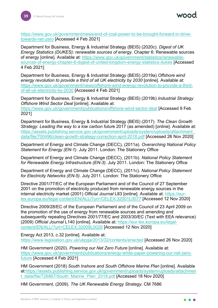mod

[https://www.gov.uk/government/news/end-of-coal-power-to-be-brought-forward-in-drive](https://www.gov.uk/government/news/end-of-coal-power-to-be-brought-forward-in-drive-towards-net-zero)[towards-net-zero](https://www.gov.uk/government/news/end-of-coal-power-to-be-brought-forward-in-drive-towards-net-zero) [Accessed 4 Feb 2021]

Department for Business, Energy & Industrial Strategy (BEIS) (2020c). *Digest of UK Energy Statistics (DUKES): renewable sources of energy*. Chapter 6: Renewable sources of energy [online]. Available at: [https://www.gov.uk/government/statistics/renewable](https://www.gov.uk/government/statistics/renewable-sources-of-energy-chapter-6-digest-of-united-kingdom-energy-statistics-dukes)[sources-of-energy-chapter-6-digest-of-united-kingdom-energy-statistics-dukes](https://www.gov.uk/government/statistics/renewable-sources-of-energy-chapter-6-digest-of-united-kingdom-energy-statistics-dukes) [Accessed 4 Feb 2021]

Department for Business, Energy & Industrial Strategy (BEIS) (2019a) *Offshore wind energy revolution to provide a third of all UK electricity by 2030* [online]. Available at: [https://www.gov.uk/government/news/offshore-wind-energy-revolution-to-provide-a-third](https://www.gov.uk/government/news/offshore-wind-energy-revolution-to-provide-a-third-of-all-uk-electricity-by-2030)[of-all-uk-electricity-by-2030](https://www.gov.uk/government/news/offshore-wind-energy-revolution-to-provide-a-third-of-all-uk-electricity-by-2030) [Accessed 4 Feb 2021]

Department for Business, Energy & Industrial Strategy (BEIS) (2019b) *Industrial Strategy Offshore Wind Sector Deal* [online]. Available at:

<https://www.gov.uk/government/publications/offshore-wind-sector-deal> [Accessed 9 Feb 2021]

Department for Business, Energy & Industrial Strategy (BEIS) (2017). *The Clean Growth Strategy: Leading the way to a low carbon futur*e 2017 (as amended) [online]. Available at: [https://assets.publishing.service.gov.uk/government/uploads/system/uploads/attachment\\_](https://assets.publishing.service.gov.uk/government/uploads/system/uploads/attachment_data/file/700496/clean-growth-strategy-correction-april-2018.pdf) [data/file/700496/clean-growth-strategy-correction-april-2018.pdf](https://assets.publishing.service.gov.uk/government/uploads/system/uploads/attachment_data/file/700496/clean-growth-strategy-correction-april-2018.pdf) [Accessed 26 Nov 2020]

Department of Energy and Climate Change (DECC), (2011a). *Overarching National Policy Statement for Energy (EN-1)*. July 2011. London: The Stationery Office

Department of Energy and Climate Change (DECC), (2011b). *National Policy Statement for Renewable Energy Infrastructure (EN-3)*. July 2011. London: The Stationery Office

Department of Energy and Climate Change (DECC), (2011c). *National Policy Statement for Electricity Networks (EN-5)*. July 2011. London: The Stationery Office

Directive 2001/77/EC of the European Parliament and of the Council of 27 September 2001 on the promotion of electricity produced from renewable energy sources in the internal electricity market (2001) *Official Journal* L83 [online]. Available at: [https://eur](https://eur-lex.europa.eu/legal-content/EN/ALL/?uri=CELEX:32001L0077)[lex.europa.eu/legal-content/EN/ALL/?uri=CELEX:32001L0077](https://eur-lex.europa.eu/legal-content/EN/ALL/?uri=CELEX:32001L0077) [Accessed 12 Nov 2020]

Directive 2009/28/EC of the European Parliament and of the Council of 23 April 2009 on the promotion of the use of energy from renewable sources and amending and subsequently repealing Directives 2001/77/EC and 2003/30/EC (Text with EEA relevance) (2009) *Official Journal* L140 [online]. Available at: [https://eur-lex.europa.eu/legal](https://eur-lex.europa.eu/legal-content/EN/ALL/?uri=CELEX:32009L0028)[content/EN/ALL/?uri=CELEX:32009L0028](https://eur-lex.europa.eu/legal-content/EN/ALL/?uri=CELEX:32009L0028) [Accessed 12 Nov 2020]

Energy Act 2013, c.32 [online]. Available at: <https://www.legislation.gov.uk/ukpga/2013/32/contents/enacted> [Accessed 26 Nov 2020]

HM Government (2020). *Powering our Net Zero Future* [online]. Available at: [https://www.gov.uk/government/publications/energy-white-paper-powering-our-net-zero](https://www.gov.uk/government/publications/energy-white-paper-powering-our-net-zero-future)[future](https://www.gov.uk/government/publications/energy-white-paper-powering-our-net-zero-future) [Accessed 4 Feb 2021]

HM Government (2018) *South Inshore and South Offshore Marine Plan* [online]. Available at[:https://assets.publishing.service.gov.uk/government/uploads/system/uploads/attachmen](https://assets.publishing.service.gov.uk/government/uploads/system/uploads/attachment_data/file/726867/South_Marine_Plan_2018.pdf) [t\\_data/file/726867/South\\_Marine\\_Plan\\_2018.pdf](https://assets.publishing.service.gov.uk/government/uploads/system/uploads/attachment_data/file/726867/South_Marine_Plan_2018.pdf) [Accessed 18 Nov 2020]

HM Government, (2009). *The UK Renewable Energy Strategy*. CM 7686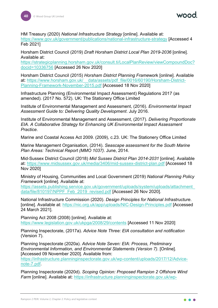HM Treasury (2020) *National Infrastructure Strategy* [online]. Available at:

<https://www.gov.uk/government/publications/national-infrastructure-strategy> [Accessed 4 Feb 2021]

Horsham District Council (2019) *Draft Horsham District Local Plan 2019-2036* [online]. Available at:

[https://strategicplanning.horsham.gov.uk/consult.ti/LocalPlanReview/viewCompoundDoc?](https://strategicplanning.horsham.gov.uk/consult.ti/LocalPlanReview/viewCompoundDoc?docid=10336756) [docid=10336756](https://strategicplanning.horsham.gov.uk/consult.ti/LocalPlanReview/viewCompoundDoc?docid=10336756) [Accessed 26 Nov 2020]

Horsham District Council (2015) *Horsham District Planning Frame*work [online]. Available at: [https://www.horsham.gov.uk/\\_\\_data/assets/pdf\\_file/0016/60190/Horsham-District-](https://www.horsham.gov.uk/__data/assets/pdf_file/0016/60190/Horsham-District-Planning-Framework-November-2015.pdf)[Planning-Framework-November-2015.pdf](https://www.horsham.gov.uk/__data/assets/pdf_file/0016/60190/Horsham-District-Planning-Framework-November-2015.pdf) [Accessed 18 Nov 2020]

Infrastructure Planning (Environmental Impact Assessment) Regulations 2017 (as amended). (2017 No. 572). UK: The Stationery Office Limited

Institute of Environmental Management and Assessment, (2016). *Environmental Impact Assessment Guide to: Delivering Quality Development*. July 2016.

Institute of Environmental Management and Assessment, (2017). *Delivering Proportionate EIA. A Collaborative Strategy for Enhancing UK Environmental Impact Assessment Practice*.

Marine and Coastal Access Act 2009. (2009), c.23. UK: The Stationery Office Limited

Marine Management Organisation, (2014). *Seascape assessment for the South Marine Plan Areas: Technical Report (MMO 1037)*. June, 2014.

Mid-Sussex District Council (2018) *Mid Sussex District Plan 2014-2031* [online]. Available at:<https://www.midsussex.gov.uk/media/3406/mid-sussex-district-plan.pdf> [Accessed 18 Nov 2020]

Ministry of Housing, Communities and Local Government (2019) *National Planning Policy Framework* [online]. Available at:

[https://assets.publishing.service.gov.uk/government/uploads/system/uploads/attachment\\_](https://assets.publishing.service.gov.uk/government/uploads/system/uploads/attachment_data/file/810197/NPPF_Feb_2019_revised.pdf) [data/file/810197/NPPF\\_Feb\\_2019\\_revised.pdf](https://assets.publishing.service.gov.uk/government/uploads/system/uploads/attachment_data/file/810197/NPPF_Feb_2019_revised.pdf) [Accessed 26 Nov 2020].

National Infrastructure Commission (2020). *Design Principles for National Infrastructure*. [online]. Available at:<https://nic.org.uk/app/uploads/NIC-Design-Principles.pdf> [Accessed 24 March 2021].

Planning Act 2008 (2008) [online]. Available at: <https://www.legislation.gov.uk/ukpga/2008/29/contents> [Accessed 11 Nov 2020]

Planning Inspectorate, (2017a). *Advice Note Three: EIA consultation and notification* (Version 7).

Planning Inspectorate (2020a). *Advice Note Seven: EIA: Process, Preliminary Environmental Information, and Environmental Statements (Version 7)*. [Online]. [Accessed 09 November 2020]. Available from:

[https://infrastructure.planninginspectorate.gov.uk/wp-content/uploads/2017/12/Advice](https://infrastructure.planninginspectorate.gov.uk/wp-content/uploads/2017/12/Advice-note-7.pdf)[note-7.pdf.](https://infrastructure.planninginspectorate.gov.uk/wp-content/uploads/2017/12/Advice-note-7.pdf)

Planning Inspectorate (2020d). *Scoping Opinion: Proposed Rampion 2 Offshore Wind Farm* [online]. Available at: [https://infrastructure.planninginspectorate.gov.uk/wp-](https://infrastructure.planninginspectorate.gov.uk/wp-content/ipc/uploads/projects/EN010117/EN010117-000045-EN010117%20Scoping%20Opinion.pdf)

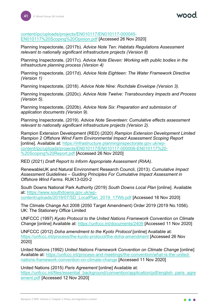[content/ipc/uploads/projects/EN010117/EN010117-000045-](https://infrastructure.planninginspectorate.gov.uk/wp-content/ipc/uploads/projects/EN010117/EN010117-000045-EN010117%20Scoping%20Opinion.pdf) [EN010117%20Scoping%20Opinion.pdf](https://infrastructure.planninginspectorate.gov.uk/wp-content/ipc/uploads/projects/EN010117/EN010117-000045-EN010117%20Scoping%20Opinion.pdf) [Accessed 26 Nov 2020]

Planning Inspectorate, (2017b). *Advice Note Ten: Habitats Regulations Assessment relevant to nationally significant infrastructure projects (Version 8)*

Planning Inspectorate, (2017c). *Advice Note Eleven: Working with public bodies in the infrastructure planning process (Version 4)*

Planning Inspectorate, (2017d). *Advice Note Eighteen: The Water Framework Directive (Version 1)*

Planning Inspectorate, (2018). *Advice Note Nine: Rochdale Envelope (Version 3).*

Planning Inspectorate, (2020c). *Advice Note Twelve: Transboundary Impacts and Process (Version 5).*

Planning Inspectorate, (2020b). *Advice Note Six: Preparation and submission of application documents (Version 9).*

Planning Inspectorate, (2019). *Advice Note Seventeen: Cumulative effects assessment relevant to nationally significant infrastructure projects (Version 2).*

Rampion Extension Development (RED) (2020) *Rampion Extension Development Limited Rampion 2 Offshore Wind Farm Environmental Impact Assessment Scoping Report* [online]. Available at: [https://infrastructure.planninginspectorate.gov.uk/wp](https://infrastructure.planninginspectorate.gov.uk/wp-content/ipc/uploads/projects/EN010117/EN010117-000006-EN010117%20-%20Scoping%20Report.pdf)[content/ipc/uploads/projects/EN010117/EN010117-000006-EN010117%20-](https://infrastructure.planninginspectorate.gov.uk/wp-content/ipc/uploads/projects/EN010117/EN010117-000006-EN010117%20-%20Scoping%20Report.pdf) [%20Scoping%20Report.pdf](https://infrastructure.planninginspectorate.gov.uk/wp-content/ipc/uploads/projects/EN010117/EN010117-000006-EN010117%20-%20Scoping%20Report.pdf) [Accessed 26 Nov 2020]

RED (2021) *Draft Report to Inform Appropriate Assessment (RIAA)*.

RenewableUK and Natural Environment Research Council, (2013). *Cumulative Impact Assessment Guidelines – Guiding Principles For Cumulative Impact Assessment in Offshore Wind Farms.* RUK13-020-2

South Downs National Park Authority (2019) *South Downs Local Plan* [online]. Available at: [https://www.southdowns.gov.uk/wp](https://www.southdowns.gov.uk/wp-content/uploads/2019/07/SD_LocalPlan_2019_17Wb.pdf)[content/uploads/2019/07/SD\\_LocalPlan\\_2019\\_17Wb.pdf](https://www.southdowns.gov.uk/wp-content/uploads/2019/07/SD_LocalPlan_2019_17Wb.pdf) [Accessed 18 Nov 2020]

The Climate Change Act 2008 (2050 Target Amendment) Order 2019 (2019 No.1056). UK: The Stationery Office Limited

UNFCCC (1997) *Kyoto Protocol to the United Nations Framework Convention on Climate Change* [online] Available at:<https://unfccc.int/documents/2409> [Accessed 11 Nov 2020]

UNFCCC (2012) *Doha amendment to the Kyoto Protocol* [online] Available at: <https://unfccc.int/process/the-kyoto-protocol/the-doha-amendment> [Accessed 26 Nov 2020]

United Nations (1992) *United Nations Framework Convention on Climate Change* [online] Available at: [https://unfccc.int/process-and-meetings/the-convention/what-is-the-united](https://unfccc.int/process-and-meetings/the-convention/what-is-the-united-nations-framework-convention-on-climate-change)[nations-framework-convention-on-climate-change](https://unfccc.int/process-and-meetings/the-convention/what-is-the-united-nations-framework-convention-on-climate-change) [Accessed 11 Nov 2020]

United Nations (2015) *Paris Agreement* [online] Available at: [https://unfccc.int/files/essential\\_background/convention/application/pdf/english\\_paris\\_agre](https://unfccc.int/files/essential_background/convention/application/pdf/english_paris_agreement.pdf) [ement.pdf](https://unfccc.int/files/essential_background/convention/application/pdf/english_paris_agreement.pdf) [Accessed 12 Nov 2020]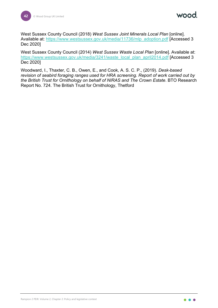wood

West Sussex County Council (2018) *West Sussex Joint Minerals Local Plan* [online]. Available at: [https://www.westsussex.gov.uk/media/11736/mlp\\_adoption.pdf](https://www.westsussex.gov.uk/media/11736/mlp_adoption.pdf) [Accessed 3 Dec 2020]

West Sussex County Council (2014) *West Sussex Waste Local Plan* [online]. Available at: [https://www.westsussex.gov.uk/media/3241/waste\\_local\\_plan\\_april2014.pdf](https://www.westsussex.gov.uk/media/3241/waste_local_plan_april2014.pdf) [Accessed 3 Dec 2020]

Woodward, I., Thaxter, C. B., Owen, E., and Cook, A. S. C. P., (2019). *Desk-based revision of seabird foraging ranges used for HRA screening. Report of work carried out by the British Trust for Ornithology on behalf of NIRAS and The Crown Estate*. BTO Research Report No. 724. The British Trust for Ornithology, Thetford